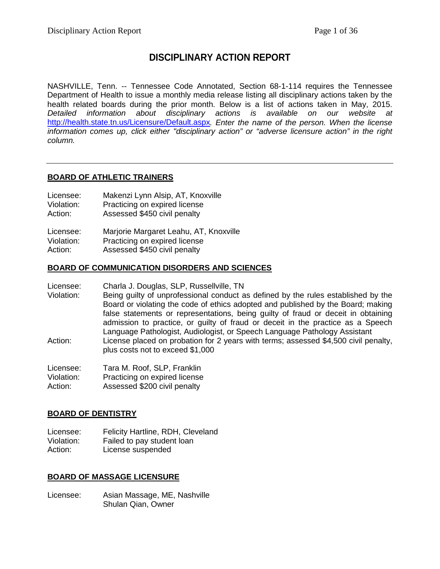## **DISCIPLINARY ACTION REPORT**

NASHVILLE, Tenn. -- Tennessee Code Annotated, Section 68-1-114 requires the Tennessee Department of Health to issue a monthly media release listing all disciplinary actions taken by the health related boards during the prior month. Below is a list of actions taken in May, 2015. *Detailed information about disciplinary actions is available on our website at* <http://health.state.tn.us/Licensure/Default.aspx>*. Enter the name of the person. When the license information comes up, click either "disciplinary action" or "adverse licensure action" in the right column.*

## **BOARD OF ATHLETIC TRAINERS**

- Licensee: Makenzi Lynn Alsip, AT, Knoxville
- Violation: Practicing on expired license<br>Action: Assessed \$450 civil penalty
- Assessed \$450 civil penalty

| Licensee:  | Marjorie Margaret Leahu, AT, Knoxville |
|------------|----------------------------------------|
| Violation: | Practicing on expired license          |
| Action:    | Assessed \$450 civil penalty           |

## **BOARD OF COMMUNICATION DISORDERS AND SCIENCES**

- Licensee: Charla J. Douglas, SLP, Russellville, TN
- Violation: Being guilty of unprofessional conduct as defined by the rules established by the Board or violating the code of ethics adopted and published by the Board; making false statements or representations, being guilty of fraud or deceit in obtaining admission to practice, or guilty of fraud or deceit in the practice as a Speech Language Pathologist, Audiologist, or Speech Language Pathology Assistant Action: License placed on probation for 2 years with terms; assessed \$4,500 civil penalty, plus costs not to exceed \$1,000

| Licensee:  | Tara M. Roof, SLP, Franklin   |
|------------|-------------------------------|
| Violation: | Practicing on expired license |
| Action:    | Assessed \$200 civil penalty  |

## **BOARD OF DENTISTRY**

Licensee: Felicity Hartline, RDH, Cleveland Violation: Failed to pay student loan Action: License suspended

## **BOARD OF MASSAGE LICENSURE**

Licensee: Asian Massage, ME, Nashville Shulan Qian, Owner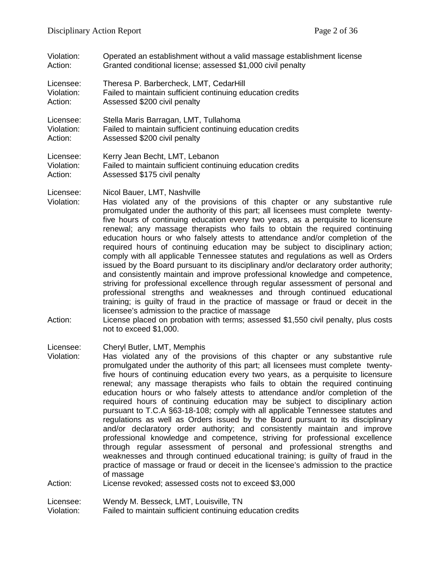- Violation: Operated an establishment without a valid massage establishment license<br>Action: Granted conditional license: assessed \$1,000 civil penalty Granted conditional license; assessed \$1,000 civil penalty
- Licensee: Theresa P. Barbercheck, LMT, CedarHill Violation: Failed to maintain sufficient continuing education credits
- Action: Assessed \$200 civil penalty
- Licensee: Stella Maris Barragan, LMT, Tullahoma Violation: Failed to maintain sufficient continuing education credits<br>Action: Assessed \$200 civil penalty Assessed \$200 civil penalty

Licensee: Kerry Jean Becht, LMT, Lebanon Violation: Failed to maintain sufficient continuing education credits Action: Assessed \$175 civil penalty

Licensee: Nicol Bauer, LMT, Nashville

- Violation: Has violated any of the provisions of this chapter or any substantive rule promulgated under the authority of this part; all licensees must complete twentyfive hours of continuing education every two years, as a perquisite to licensure renewal; any massage therapists who fails to obtain the required continuing education hours or who falsely attests to attendance and/or completion of the required hours of continuing education may be subject to disciplinary action; comply with all applicable Tennessee statutes and regulations as well as Orders issued by the Board pursuant to its disciplinary and/or declaratory order authority; and consistently maintain and improve professional knowledge and competence, striving for professional excellence through regular assessment of personal and professional strengths and weaknesses and through continued educational training; is guilty of fraud in the practice of massage or fraud or deceit in the licensee's admission to the practice of massage
- Action: License placed on probation with terms; assessed \$1,550 civil penalty, plus costs not to exceed \$1,000.

Licensee: Cheryl Butler, LMT, Memphis

Violation: Has violated any of the provisions of this chapter or any substantive rule promulgated under the authority of this part; all licensees must complete twentyfive hours of continuing education every two years, as a perquisite to licensure renewal; any massage therapists who fails to obtain the required continuing education hours or who falsely attests to attendance and/or completion of the required hours of continuing education may be subject to disciplinary action pursuant to T.C.A §63-18-108; comply with all applicable Tennessee statutes and regulations as well as Orders issued by the Board pursuant to its disciplinary and/or declaratory order authority; and consistently maintain and improve professional knowledge and competence, striving for professional excellence through regular assessment of personal and professional strengths and weaknesses and through continued educational training; is guilty of fraud in the practice of massage or fraud or deceit in the licensee's admission to the practice of massage

Action: License revoked; assessed costs not to exceed \$3,000

Licensee: Wendy M. Besseck, LMT, Louisville, TN

Violation: Failed to maintain sufficient continuing education credits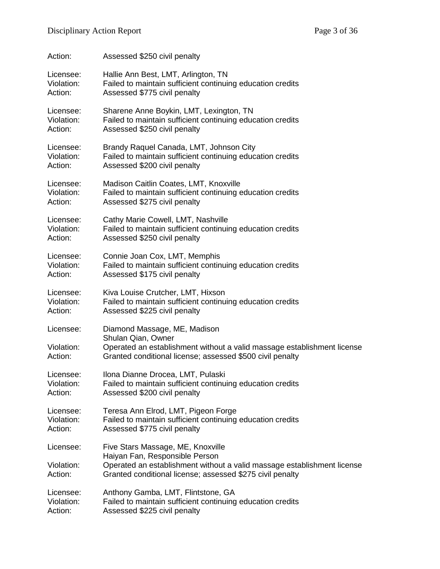| Action:                            | Assessed \$250 civil penalty                                                                                                                                                                                |
|------------------------------------|-------------------------------------------------------------------------------------------------------------------------------------------------------------------------------------------------------------|
| Licensee:                          | Hallie Ann Best, LMT, Arlington, TN                                                                                                                                                                         |
| Violation:                         | Failed to maintain sufficient continuing education credits                                                                                                                                                  |
| Action:                            | Assessed \$775 civil penalty                                                                                                                                                                                |
| Licensee:                          | Sharene Anne Boykin, LMT, Lexington, TN                                                                                                                                                                     |
| Violation:                         | Failed to maintain sufficient continuing education credits                                                                                                                                                  |
| Action:                            | Assessed \$250 civil penalty                                                                                                                                                                                |
| Licensee:                          | Brandy Raquel Canada, LMT, Johnson City                                                                                                                                                                     |
| Violation:                         | Failed to maintain sufficient continuing education credits                                                                                                                                                  |
| Action:                            | Assessed \$200 civil penalty                                                                                                                                                                                |
| Licensee:                          | Madison Caitlin Coates, LMT, Knoxville                                                                                                                                                                      |
| Violation:                         | Failed to maintain sufficient continuing education credits                                                                                                                                                  |
| Action:                            | Assessed \$275 civil penalty                                                                                                                                                                                |
| Licensee:                          | Cathy Marie Cowell, LMT, Nashville                                                                                                                                                                          |
| Violation:                         | Failed to maintain sufficient continuing education credits                                                                                                                                                  |
| Action:                            | Assessed \$250 civil penalty                                                                                                                                                                                |
| Licensee:                          | Connie Joan Cox, LMT, Memphis                                                                                                                                                                               |
| Violation:                         | Failed to maintain sufficient continuing education credits                                                                                                                                                  |
| Action:                            | Assessed \$175 civil penalty                                                                                                                                                                                |
| Licensee:                          | Kiva Louise Crutcher, LMT, Hixson                                                                                                                                                                           |
| Violation:                         | Failed to maintain sufficient continuing education credits                                                                                                                                                  |
| Action:                            | Assessed \$225 civil penalty                                                                                                                                                                                |
| Licensee:<br>Violation:<br>Action: | Diamond Massage, ME, Madison<br>Shulan Qian, Owner<br>Operated an establishment without a valid massage establishment license<br>Granted conditional license; assessed \$500 civil penalty                  |
| Licensee:                          | Ilona Dianne Drocea, LMT, Pulaski                                                                                                                                                                           |
| Violation:                         | Failed to maintain sufficient continuing education credits                                                                                                                                                  |
| Action:                            | Assessed \$200 civil penalty                                                                                                                                                                                |
| Licensee:                          | Teresa Ann Elrod, LMT, Pigeon Forge                                                                                                                                                                         |
| Violation:                         | Failed to maintain sufficient continuing education credits                                                                                                                                                  |
| Action:                            | Assessed \$775 civil penalty                                                                                                                                                                                |
| Licensee:<br>Violation:<br>Action: | Five Stars Massage, ME, Knoxville<br>Haiyan Fan, Responsible Person<br>Operated an establishment without a valid massage establishment license<br>Granted conditional license; assessed \$275 civil penalty |
| Licensee:                          | Anthony Gamba, LMT, Flintstone, GA                                                                                                                                                                          |
| Violation:                         | Failed to maintain sufficient continuing education credits                                                                                                                                                  |
| Action:                            | Assessed \$225 civil penalty                                                                                                                                                                                |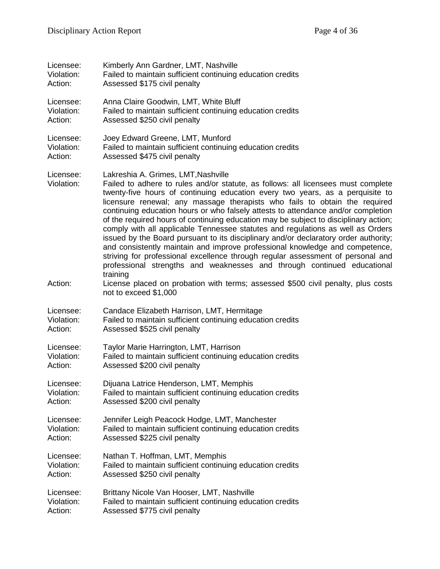| Licensee:               | Kimberly Ann Gardner, LMT, Nashville                                                                                                                                                                                                                                                                                                                                                                                                                                                                                                                                                                                                                                                                                                                                                                                                                                                                      |
|-------------------------|-----------------------------------------------------------------------------------------------------------------------------------------------------------------------------------------------------------------------------------------------------------------------------------------------------------------------------------------------------------------------------------------------------------------------------------------------------------------------------------------------------------------------------------------------------------------------------------------------------------------------------------------------------------------------------------------------------------------------------------------------------------------------------------------------------------------------------------------------------------------------------------------------------------|
| Violation:              | Failed to maintain sufficient continuing education credits                                                                                                                                                                                                                                                                                                                                                                                                                                                                                                                                                                                                                                                                                                                                                                                                                                                |
| Action:                 | Assessed \$175 civil penalty                                                                                                                                                                                                                                                                                                                                                                                                                                                                                                                                                                                                                                                                                                                                                                                                                                                                              |
| Licensee:               | Anna Claire Goodwin, LMT, White Bluff                                                                                                                                                                                                                                                                                                                                                                                                                                                                                                                                                                                                                                                                                                                                                                                                                                                                     |
| Violation:              | Failed to maintain sufficient continuing education credits                                                                                                                                                                                                                                                                                                                                                                                                                                                                                                                                                                                                                                                                                                                                                                                                                                                |
| Action:                 | Assessed \$250 civil penalty                                                                                                                                                                                                                                                                                                                                                                                                                                                                                                                                                                                                                                                                                                                                                                                                                                                                              |
| Licensee:               | Joey Edward Greene, LMT, Munford                                                                                                                                                                                                                                                                                                                                                                                                                                                                                                                                                                                                                                                                                                                                                                                                                                                                          |
| Violation:              | Failed to maintain sufficient continuing education credits                                                                                                                                                                                                                                                                                                                                                                                                                                                                                                                                                                                                                                                                                                                                                                                                                                                |
| Action:                 | Assessed \$475 civil penalty                                                                                                                                                                                                                                                                                                                                                                                                                                                                                                                                                                                                                                                                                                                                                                                                                                                                              |
| Licensee:<br>Violation: | Lakreshia A. Grimes, LMT, Nashville<br>Failed to adhere to rules and/or statute, as follows: all licensees must complete<br>twenty-five hours of continuing education every two years, as a perquisite to<br>licensure renewal; any massage therapists who fails to obtain the required<br>continuing education hours or who falsely attests to attendance and/or completion<br>of the required hours of continuing education may be subject to disciplinary action;<br>comply with all applicable Tennessee statutes and regulations as well as Orders<br>issued by the Board pursuant to its disciplinary and/or declaratory order authority;<br>and consistently maintain and improve professional knowledge and competence,<br>striving for professional excellence through regular assessment of personal and<br>professional strengths and weaknesses and through continued educational<br>training |
| Action:                 | License placed on probation with terms; assessed \$500 civil penalty, plus costs<br>not to exceed \$1,000                                                                                                                                                                                                                                                                                                                                                                                                                                                                                                                                                                                                                                                                                                                                                                                                 |
| Licensee:               | Candace Elizabeth Harrison, LMT, Hermitage                                                                                                                                                                                                                                                                                                                                                                                                                                                                                                                                                                                                                                                                                                                                                                                                                                                                |
| Violation:              | Failed to maintain sufficient continuing education credits                                                                                                                                                                                                                                                                                                                                                                                                                                                                                                                                                                                                                                                                                                                                                                                                                                                |
| Action:                 | Assessed \$525 civil penalty                                                                                                                                                                                                                                                                                                                                                                                                                                                                                                                                                                                                                                                                                                                                                                                                                                                                              |
| Licensee:               | Taylor Marie Harrington, LMT, Harrison                                                                                                                                                                                                                                                                                                                                                                                                                                                                                                                                                                                                                                                                                                                                                                                                                                                                    |
| Violation:              | Failed to maintain sufficient continuing education credits                                                                                                                                                                                                                                                                                                                                                                                                                                                                                                                                                                                                                                                                                                                                                                                                                                                |
| Action:                 | Assessed \$200 civil penalty                                                                                                                                                                                                                                                                                                                                                                                                                                                                                                                                                                                                                                                                                                                                                                                                                                                                              |
| Licensee:               | Dijuana Latrice Henderson, LMT, Memphis                                                                                                                                                                                                                                                                                                                                                                                                                                                                                                                                                                                                                                                                                                                                                                                                                                                                   |
| Violation:              | Failed to maintain sufficient continuing education credits                                                                                                                                                                                                                                                                                                                                                                                                                                                                                                                                                                                                                                                                                                                                                                                                                                                |
| Action:                 | Assessed \$200 civil penalty                                                                                                                                                                                                                                                                                                                                                                                                                                                                                                                                                                                                                                                                                                                                                                                                                                                                              |
| Licensee:               | Jennifer Leigh Peacock Hodge, LMT, Manchester                                                                                                                                                                                                                                                                                                                                                                                                                                                                                                                                                                                                                                                                                                                                                                                                                                                             |
| Violation:              | Failed to maintain sufficient continuing education credits                                                                                                                                                                                                                                                                                                                                                                                                                                                                                                                                                                                                                                                                                                                                                                                                                                                |
| Action:                 | Assessed \$225 civil penalty                                                                                                                                                                                                                                                                                                                                                                                                                                                                                                                                                                                                                                                                                                                                                                                                                                                                              |
| Licensee:               | Nathan T. Hoffman, LMT, Memphis                                                                                                                                                                                                                                                                                                                                                                                                                                                                                                                                                                                                                                                                                                                                                                                                                                                                           |
| Violation:              | Failed to maintain sufficient continuing education credits                                                                                                                                                                                                                                                                                                                                                                                                                                                                                                                                                                                                                                                                                                                                                                                                                                                |
| Action:                 | Assessed \$250 civil penalty                                                                                                                                                                                                                                                                                                                                                                                                                                                                                                                                                                                                                                                                                                                                                                                                                                                                              |
| Licensee:               | Brittany Nicole Van Hooser, LMT, Nashville                                                                                                                                                                                                                                                                                                                                                                                                                                                                                                                                                                                                                                                                                                                                                                                                                                                                |
| Violation:              | Failed to maintain sufficient continuing education credits                                                                                                                                                                                                                                                                                                                                                                                                                                                                                                                                                                                                                                                                                                                                                                                                                                                |
| Action:                 | Assessed \$775 civil penalty                                                                                                                                                                                                                                                                                                                                                                                                                                                                                                                                                                                                                                                                                                                                                                                                                                                                              |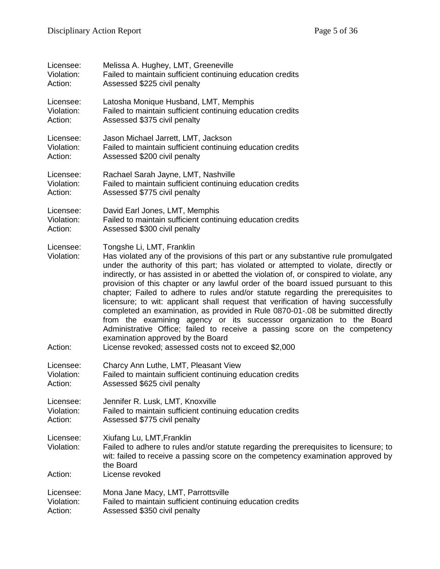| Licensee:                          | Melissa A. Hughey, LMT, Greeneville                                                                                                                                                                                                                                                                                                                                                                                                                                                                                                                                                                                                                                                                                                                                                                                                                                                                         |
|------------------------------------|-------------------------------------------------------------------------------------------------------------------------------------------------------------------------------------------------------------------------------------------------------------------------------------------------------------------------------------------------------------------------------------------------------------------------------------------------------------------------------------------------------------------------------------------------------------------------------------------------------------------------------------------------------------------------------------------------------------------------------------------------------------------------------------------------------------------------------------------------------------------------------------------------------------|
| Violation:                         | Failed to maintain sufficient continuing education credits                                                                                                                                                                                                                                                                                                                                                                                                                                                                                                                                                                                                                                                                                                                                                                                                                                                  |
| Action:                            | Assessed \$225 civil penalty                                                                                                                                                                                                                                                                                                                                                                                                                                                                                                                                                                                                                                                                                                                                                                                                                                                                                |
| Licensee:                          | Latosha Monique Husband, LMT, Memphis                                                                                                                                                                                                                                                                                                                                                                                                                                                                                                                                                                                                                                                                                                                                                                                                                                                                       |
| Violation:                         | Failed to maintain sufficient continuing education credits                                                                                                                                                                                                                                                                                                                                                                                                                                                                                                                                                                                                                                                                                                                                                                                                                                                  |
| Action:                            | Assessed \$375 civil penalty                                                                                                                                                                                                                                                                                                                                                                                                                                                                                                                                                                                                                                                                                                                                                                                                                                                                                |
| Licensee:                          | Jason Michael Jarrett, LMT, Jackson                                                                                                                                                                                                                                                                                                                                                                                                                                                                                                                                                                                                                                                                                                                                                                                                                                                                         |
| Violation:                         | Failed to maintain sufficient continuing education credits                                                                                                                                                                                                                                                                                                                                                                                                                                                                                                                                                                                                                                                                                                                                                                                                                                                  |
| Action:                            | Assessed \$200 civil penalty                                                                                                                                                                                                                                                                                                                                                                                                                                                                                                                                                                                                                                                                                                                                                                                                                                                                                |
| Licensee:                          | Rachael Sarah Jayne, LMT, Nashville                                                                                                                                                                                                                                                                                                                                                                                                                                                                                                                                                                                                                                                                                                                                                                                                                                                                         |
| Violation:                         | Failed to maintain sufficient continuing education credits                                                                                                                                                                                                                                                                                                                                                                                                                                                                                                                                                                                                                                                                                                                                                                                                                                                  |
| Action:                            | Assessed \$775 civil penalty                                                                                                                                                                                                                                                                                                                                                                                                                                                                                                                                                                                                                                                                                                                                                                                                                                                                                |
| Licensee:                          | David Earl Jones, LMT, Memphis                                                                                                                                                                                                                                                                                                                                                                                                                                                                                                                                                                                                                                                                                                                                                                                                                                                                              |
| Violation:                         | Failed to maintain sufficient continuing education credits                                                                                                                                                                                                                                                                                                                                                                                                                                                                                                                                                                                                                                                                                                                                                                                                                                                  |
| Action:                            | Assessed \$300 civil penalty                                                                                                                                                                                                                                                                                                                                                                                                                                                                                                                                                                                                                                                                                                                                                                                                                                                                                |
| Licensee:<br>Violation:<br>Action: | Tongshe Li, LMT, Franklin<br>Has violated any of the provisions of this part or any substantive rule promulgated<br>under the authority of this part; has violated or attempted to violate, directly or<br>indirectly, or has assisted in or abetted the violation of, or conspired to violate, any<br>provision of this chapter or any lawful order of the board issued pursuant to this<br>chapter; Failed to adhere to rules and/or statute regarding the prerequisites to<br>licensure; to wit: applicant shall request that verification of having successfully<br>completed an examination, as provided in Rule 0870-01-.08 be submitted directly<br>from the examining agency or its successor organization to the Board<br>Administrative Office; failed to receive a passing score on the competency<br>examination approved by the Board<br>License revoked; assessed costs not to exceed \$2,000 |
| Licensee:                          | Charcy Ann Luthe, LMT, Pleasant View                                                                                                                                                                                                                                                                                                                                                                                                                                                                                                                                                                                                                                                                                                                                                                                                                                                                        |
| Violation:                         | Failed to maintain sufficient continuing education credits                                                                                                                                                                                                                                                                                                                                                                                                                                                                                                                                                                                                                                                                                                                                                                                                                                                  |
| Action:                            | Assessed \$625 civil penalty                                                                                                                                                                                                                                                                                                                                                                                                                                                                                                                                                                                                                                                                                                                                                                                                                                                                                |
| Licensee:                          | Jennifer R. Lusk, LMT, Knoxville                                                                                                                                                                                                                                                                                                                                                                                                                                                                                                                                                                                                                                                                                                                                                                                                                                                                            |
| Violation:                         | Failed to maintain sufficient continuing education credits                                                                                                                                                                                                                                                                                                                                                                                                                                                                                                                                                                                                                                                                                                                                                                                                                                                  |
| Action:                            | Assessed \$775 civil penalty                                                                                                                                                                                                                                                                                                                                                                                                                                                                                                                                                                                                                                                                                                                                                                                                                                                                                |
| Licensee:<br>Violation:<br>Action: | Xiufang Lu, LMT, Franklin<br>Failed to adhere to rules and/or statute regarding the prerequisites to licensure; to<br>wit: failed to receive a passing score on the competency examination approved by<br>the Board<br>License revoked                                                                                                                                                                                                                                                                                                                                                                                                                                                                                                                                                                                                                                                                      |
| Licensee:                          | Mona Jane Macy, LMT, Parrottsville                                                                                                                                                                                                                                                                                                                                                                                                                                                                                                                                                                                                                                                                                                                                                                                                                                                                          |
| Violation:                         | Failed to maintain sufficient continuing education credits                                                                                                                                                                                                                                                                                                                                                                                                                                                                                                                                                                                                                                                                                                                                                                                                                                                  |
| Action:                            | Assessed \$350 civil penalty                                                                                                                                                                                                                                                                                                                                                                                                                                                                                                                                                                                                                                                                                                                                                                                                                                                                                |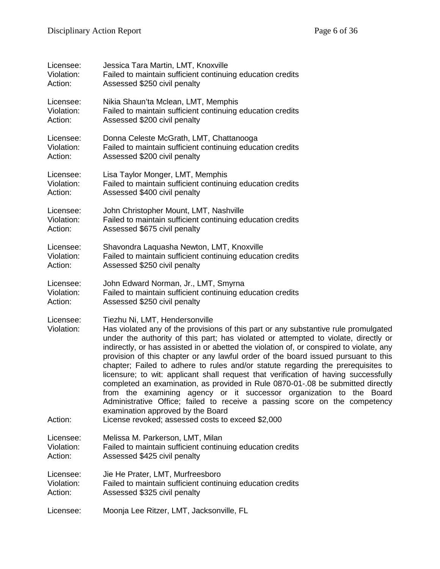| Licensee:               | Jessica Tara Martin, LMT, Knoxville                                                                                                                                                                                                                                                                                                                                                                                                                                                                                                                                                                                                                                                                                                                                                                                                                    |
|-------------------------|--------------------------------------------------------------------------------------------------------------------------------------------------------------------------------------------------------------------------------------------------------------------------------------------------------------------------------------------------------------------------------------------------------------------------------------------------------------------------------------------------------------------------------------------------------------------------------------------------------------------------------------------------------------------------------------------------------------------------------------------------------------------------------------------------------------------------------------------------------|
| Violation:              | Failed to maintain sufficient continuing education credits                                                                                                                                                                                                                                                                                                                                                                                                                                                                                                                                                                                                                                                                                                                                                                                             |
| Action:                 | Assessed \$250 civil penalty                                                                                                                                                                                                                                                                                                                                                                                                                                                                                                                                                                                                                                                                                                                                                                                                                           |
| Licensee:               | Nikia Shaun'ta Mclean, LMT, Memphis                                                                                                                                                                                                                                                                                                                                                                                                                                                                                                                                                                                                                                                                                                                                                                                                                    |
| Violation:              | Failed to maintain sufficient continuing education credits                                                                                                                                                                                                                                                                                                                                                                                                                                                                                                                                                                                                                                                                                                                                                                                             |
| Action:                 | Assessed \$200 civil penalty                                                                                                                                                                                                                                                                                                                                                                                                                                                                                                                                                                                                                                                                                                                                                                                                                           |
| Licensee:               | Donna Celeste McGrath, LMT, Chattanooga                                                                                                                                                                                                                                                                                                                                                                                                                                                                                                                                                                                                                                                                                                                                                                                                                |
| Violation:              | Failed to maintain sufficient continuing education credits                                                                                                                                                                                                                                                                                                                                                                                                                                                                                                                                                                                                                                                                                                                                                                                             |
| Action:                 | Assessed \$200 civil penalty                                                                                                                                                                                                                                                                                                                                                                                                                                                                                                                                                                                                                                                                                                                                                                                                                           |
| Licensee:               | Lisa Taylor Monger, LMT, Memphis                                                                                                                                                                                                                                                                                                                                                                                                                                                                                                                                                                                                                                                                                                                                                                                                                       |
| Violation:              | Failed to maintain sufficient continuing education credits                                                                                                                                                                                                                                                                                                                                                                                                                                                                                                                                                                                                                                                                                                                                                                                             |
| Action:                 | Assessed \$400 civil penalty                                                                                                                                                                                                                                                                                                                                                                                                                                                                                                                                                                                                                                                                                                                                                                                                                           |
| Licensee:               | John Christopher Mount, LMT, Nashville                                                                                                                                                                                                                                                                                                                                                                                                                                                                                                                                                                                                                                                                                                                                                                                                                 |
| Violation:              | Failed to maintain sufficient continuing education credits                                                                                                                                                                                                                                                                                                                                                                                                                                                                                                                                                                                                                                                                                                                                                                                             |
| Action:                 | Assessed \$675 civil penalty                                                                                                                                                                                                                                                                                                                                                                                                                                                                                                                                                                                                                                                                                                                                                                                                                           |
| Licensee:               | Shavondra Laquasha Newton, LMT, Knoxville                                                                                                                                                                                                                                                                                                                                                                                                                                                                                                                                                                                                                                                                                                                                                                                                              |
| Violation:              | Failed to maintain sufficient continuing education credits                                                                                                                                                                                                                                                                                                                                                                                                                                                                                                                                                                                                                                                                                                                                                                                             |
| Action:                 | Assessed \$250 civil penalty                                                                                                                                                                                                                                                                                                                                                                                                                                                                                                                                                                                                                                                                                                                                                                                                                           |
| Licensee:               | John Edward Norman, Jr., LMT, Smyrna                                                                                                                                                                                                                                                                                                                                                                                                                                                                                                                                                                                                                                                                                                                                                                                                                   |
| Violation:              | Failed to maintain sufficient continuing education credits                                                                                                                                                                                                                                                                                                                                                                                                                                                                                                                                                                                                                                                                                                                                                                                             |
| Action:                 | Assessed \$250 civil penalty                                                                                                                                                                                                                                                                                                                                                                                                                                                                                                                                                                                                                                                                                                                                                                                                                           |
| Licensee:<br>Violation: | Tiezhu Ni, LMT, Hendersonville<br>Has violated any of the provisions of this part or any substantive rule promulgated<br>under the authority of this part; has violated or attempted to violate, directly or<br>indirectly, or has assisted in or abetted the violation of, or conspired to violate, any<br>provision of this chapter or any lawful order of the board issued pursuant to this<br>chapter; Failed to adhere to rules and/or statute regarding the prerequisites to<br>licensure; to wit: applicant shall request that verification of having successfully<br>completed an examination, as provided in Rule 0870-01-.08 be submitted directly<br>from the examining agency or it successor organization to the Board<br>Administrative Office; failed to receive a passing score on the competency<br>examination approved by the Board |
| Action:                 | License revoked; assessed costs to exceed \$2,000                                                                                                                                                                                                                                                                                                                                                                                                                                                                                                                                                                                                                                                                                                                                                                                                      |
| Licensee:               | Melissa M. Parkerson, LMT, Milan                                                                                                                                                                                                                                                                                                                                                                                                                                                                                                                                                                                                                                                                                                                                                                                                                       |
| Violation:              | Failed to maintain sufficient continuing education credits                                                                                                                                                                                                                                                                                                                                                                                                                                                                                                                                                                                                                                                                                                                                                                                             |
| Action:                 | Assessed \$425 civil penalty                                                                                                                                                                                                                                                                                                                                                                                                                                                                                                                                                                                                                                                                                                                                                                                                                           |
| Licensee:               | Jie He Prater, LMT, Murfreesboro                                                                                                                                                                                                                                                                                                                                                                                                                                                                                                                                                                                                                                                                                                                                                                                                                       |
| Violation:              | Failed to maintain sufficient continuing education credits                                                                                                                                                                                                                                                                                                                                                                                                                                                                                                                                                                                                                                                                                                                                                                                             |
| Action:                 | Assessed \$325 civil penalty                                                                                                                                                                                                                                                                                                                                                                                                                                                                                                                                                                                                                                                                                                                                                                                                                           |
| Licensee:               | Moonja Lee Ritzer, LMT, Jacksonville, FL                                                                                                                                                                                                                                                                                                                                                                                                                                                                                                                                                                                                                                                                                                                                                                                                               |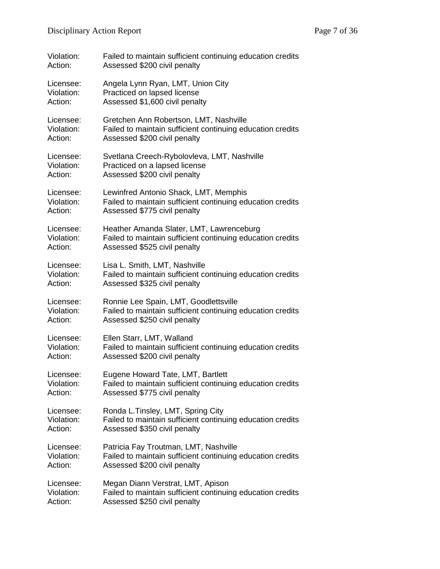| Violation: | Failed to maintain sufficient continuing education credits |
|------------|------------------------------------------------------------|
| Action:    | Assessed \$200 civil penalty                               |
| Licensee:  | Angela Lynn Ryan, LMT, Union City                          |
| Violation: | Practiced on lapsed license                                |
| Action:    | Assessed \$1,600 civil penalty                             |
| Licensee:  | Gretchen Ann Robertson, LMT, Nashville                     |
| Violation: | Failed to maintain sufficient continuing education credits |
| Action:    | Assessed \$200 civil penalty                               |
| Licensee:  | Svetlana Creech-Rybolovleva, LMT, Nashville                |
| Violation: | Practiced on a lapsed license                              |
| Action:    | Assessed \$200 civil penalty                               |
| Licensee:  | Lewinfred Antonio Shack, LMT, Memphis                      |
| Violation: | Failed to maintain sufficient continuing education credits |
| Action:    | Assessed \$775 civil penalty                               |
| Licensee:  | Heather Amanda Slater, LMT, Lawrenceburg                   |
| Violation: | Failed to maintain sufficient continuing education credits |
| Action:    | Assessed \$525 civil penalty                               |
| Licensee:  | Lisa L. Smith, LMT, Nashville                              |
| Violation: | Failed to maintain sufficient continuing education credits |
| Action:    | Assessed \$325 civil penalty                               |
| Licensee:  | Ronnie Lee Spain, LMT, Goodlettsville                      |
| Violation: | Failed to maintain sufficient continuing education credits |
| Action:    | Assessed \$250 civil penalty                               |
| Licensee:  | Ellen Starr, LMT, Walland                                  |
| Violation: | Failed to maintain sufficient continuing education credits |
| Action:    | Assessed \$200 civil penalty                               |
| Licensee:  | Eugene Howard Tate, LMT, Bartlett                          |
| Violation: | Failed to maintain sufficient continuing education credits |
| Action:    | Assessed \$775 civil penalty                               |
| Licensee:  | Ronda L.Tinsley, LMT, Spring City                          |
| Violation: | Failed to maintain sufficient continuing education credits |
| Action:    | Assessed \$350 civil penalty                               |
| Licensee:  | Patricia Fay Troutman, LMT, Nashville                      |
| Violation: | Failed to maintain sufficient continuing education credits |
| Action:    | Assessed \$200 civil penalty                               |
| Licensee:  | Megan Diann Verstrat, LMT, Apison                          |
| Violation: | Failed to maintain sufficient continuing education credits |
| Action:    | Assessed \$250 civil penalty                               |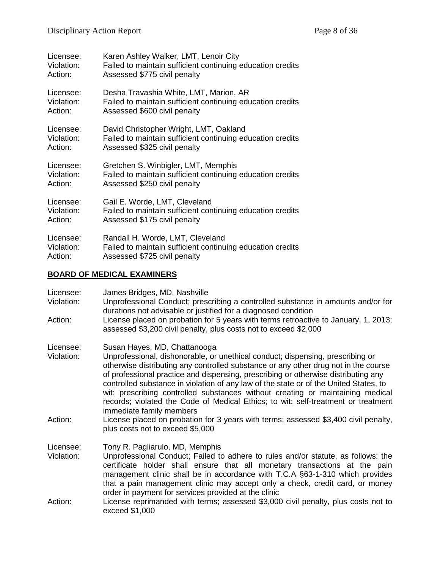| Licensee:  | Karen Ashley Walker, LMT, Lenoir City                      |
|------------|------------------------------------------------------------|
| Violation: | Failed to maintain sufficient continuing education credits |
| Action:    | Assessed \$775 civil penalty                               |
| Licensee:  | Desha Travashia White, LMT, Marion, AR                     |
| Violation: | Failed to maintain sufficient continuing education credits |
| Action:    | Assessed \$600 civil penalty                               |
| Licensee:  | David Christopher Wright, LMT, Oakland                     |
| Violation: | Failed to maintain sufficient continuing education credits |
| Action:    | Assessed \$325 civil penalty                               |
| Licensee:  | Gretchen S. Winbigler, LMT, Memphis                        |
| Violation: | Failed to maintain sufficient continuing education credits |
| Action:    | Assessed \$250 civil penalty                               |
| Licensee:  | Gail E. Worde, LMT, Cleveland                              |
| Violation: | Failed to maintain sufficient continuing education credits |
| Action:    | Assessed \$175 civil penalty                               |
| Licensee:  | Randall H. Worde, LMT, Cleveland                           |
| Violation: | Failed to maintain sufficient continuing education credits |
| Action:    | Assessed \$725 civil penalty                               |

## **BOARD OF MEDICAL EXAMINERS**

| Licensee:<br>Violation:<br>Action: | James Bridges, MD, Nashville<br>Unprofessional Conduct; prescribing a controlled substance in amounts and/or for<br>durations not advisable or justified for a diagnosed condition<br>License placed on probation for 5 years with terms retroactive to January, 1, 2013;                                                                                                                                                                                                                                                                                                               |
|------------------------------------|-----------------------------------------------------------------------------------------------------------------------------------------------------------------------------------------------------------------------------------------------------------------------------------------------------------------------------------------------------------------------------------------------------------------------------------------------------------------------------------------------------------------------------------------------------------------------------------------|
|                                    | assessed \$3,200 civil penalty, plus costs not to exceed \$2,000                                                                                                                                                                                                                                                                                                                                                                                                                                                                                                                        |
| Licensee:<br>Violation:            | Susan Hayes, MD, Chattanooga<br>Unprofessional, dishonorable, or unethical conduct; dispensing, prescribing or<br>otherwise distributing any controlled substance or any other drug not in the course<br>of professional practice and dispensing, prescribing or otherwise distributing any<br>controlled substance in violation of any law of the state or of the United States, to<br>wit: prescribing controlled substances without creating or maintaining medical<br>records; violated the Code of Medical Ethics; to wit: self-treatment or treatment<br>immediate family members |
| Action:                            | License placed on probation for 3 years with terms; assessed \$3,400 civil penalty,<br>plus costs not to exceed \$5,000                                                                                                                                                                                                                                                                                                                                                                                                                                                                 |
| Licensee:<br>Violation:            | Tony R. Pagliarulo, MD, Memphis<br>Unprofessional Conduct; Failed to adhere to rules and/or statute, as follows: the<br>certificate holder shall ensure that all monetary transactions at the pain<br>management clinic shall be in accordance with T.C.A §63-1-310 which provides<br>that a pain management clinic may accept only a check, credit card, or money<br>order in payment for services provided at the clinic                                                                                                                                                              |
| Action:                            | License reprimanded with terms; assessed \$3,000 civil penalty, plus costs not to<br>exceed \$1,000                                                                                                                                                                                                                                                                                                                                                                                                                                                                                     |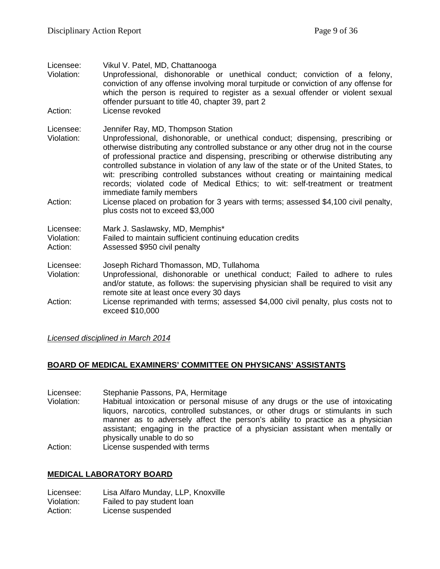| Licensee:<br>Violation:            | Vikul V. Patel, MD, Chattanooga<br>Unprofessional, dishonorable or unethical conduct; conviction of a felony,<br>conviction of any offense involving moral turpitude or conviction of any offense for<br>which the person is required to register as a sexual offender or violent sexual<br>offender pursuant to title 40, chapter 39, part 2                                                                                                                                                                                                                                             |
|------------------------------------|-------------------------------------------------------------------------------------------------------------------------------------------------------------------------------------------------------------------------------------------------------------------------------------------------------------------------------------------------------------------------------------------------------------------------------------------------------------------------------------------------------------------------------------------------------------------------------------------|
| Action:                            | License revoked                                                                                                                                                                                                                                                                                                                                                                                                                                                                                                                                                                           |
| Licensee:<br>Violation:            | Jennifer Ray, MD, Thompson Station<br>Unprofessional, dishonorable, or unethical conduct; dispensing, prescribing or<br>otherwise distributing any controlled substance or any other drug not in the course<br>of professional practice and dispensing, prescribing or otherwise distributing any<br>controlled substance in violation of any law of the state or of the United States, to<br>wit: prescribing controlled substances without creating or maintaining medical<br>records; violated code of Medical Ethics; to wit: self-treatment or treatment<br>immediate family members |
| Action:                            | License placed on probation for 3 years with terms; assessed \$4,100 civil penalty,<br>plus costs not to exceed \$3,000                                                                                                                                                                                                                                                                                                                                                                                                                                                                   |
| Licensee:<br>Violation:<br>Action: | Mark J. Saslawsky, MD, Memphis*<br>Failed to maintain sufficient continuing education credits<br>Assessed \$950 civil penalty                                                                                                                                                                                                                                                                                                                                                                                                                                                             |
| Licensee:<br>Violation:            | Joseph Richard Thomasson, MD, Tullahoma<br>Unprofessional, dishonorable or unethical conduct; Failed to adhere to rules<br>and/or statute, as follows: the supervising physician shall be required to visit any<br>remote site at least once every 30 days                                                                                                                                                                                                                                                                                                                                |
| Action:                            | License reprimanded with terms; assessed \$4,000 civil penalty, plus costs not to<br>exceed \$10,000                                                                                                                                                                                                                                                                                                                                                                                                                                                                                      |

*Licensed disciplined in March 2014*

## **BOARD OF MEDICAL EXAMINERS' COMMITTEE ON PHYSICANS' ASSISTANTS**

Licensee: Stephanie Passons, PA, Hermitage<br>Violation: Habitual intoxication or personal m

Habitual intoxication or personal misuse of any drugs or the use of intoxicating liquors, narcotics, controlled substances, or other drugs or stimulants in such manner as to adversely affect the person's ability to practice as a physician assistant; engaging in the practice of a physician assistant when mentally or physically unable to do so Action: License suspended with terms

## **MEDICAL LABORATORY BOARD**

Licensee: Lisa Alfaro Munday, LLP, Knoxville Violation: Failed to pay student loan Action: License suspended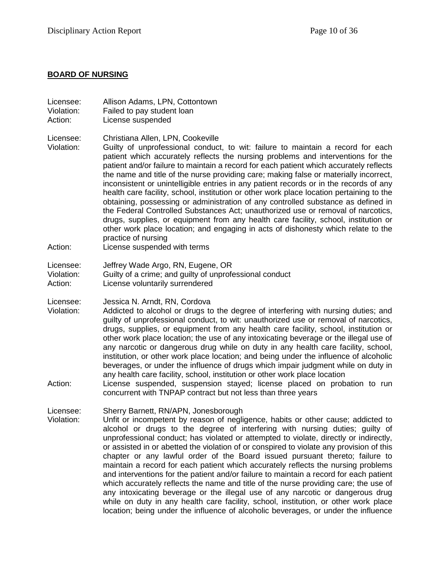## **BOARD OF NURSING**

| Licensee:<br>Violation:<br>Action: | Allison Adams, LPN, Cottontown<br>Failed to pay student loan<br>License suspended                                                                                                                                                                                                                                                                                                                                                                                                                                                                                                                                                                                                                                                                                                                                                                                                                                                                                                             |
|------------------------------------|-----------------------------------------------------------------------------------------------------------------------------------------------------------------------------------------------------------------------------------------------------------------------------------------------------------------------------------------------------------------------------------------------------------------------------------------------------------------------------------------------------------------------------------------------------------------------------------------------------------------------------------------------------------------------------------------------------------------------------------------------------------------------------------------------------------------------------------------------------------------------------------------------------------------------------------------------------------------------------------------------|
| Licensee:<br>Violation:<br>Action: | Christiana Allen, LPN, Cookeville<br>Guilty of unprofessional conduct, to wit: failure to maintain a record for each<br>patient which accurately reflects the nursing problems and interventions for the<br>patient and/or failure to maintain a record for each patient which accurately reflects<br>the name and title of the nurse providing care; making false or materially incorrect,<br>inconsistent or unintelligible entries in any patient records or in the records of any<br>health care facility, school, institution or other work place location pertaining to the<br>obtaining, possessing or administration of any controlled substance as defined in<br>the Federal Controlled Substances Act; unauthorized use or removal of narcotics,<br>drugs, supplies, or equipment from any health care facility, school, institution or<br>other work place location; and engaging in acts of dishonesty which relate to the<br>practice of nursing<br>License suspended with terms |
| Licensee:<br>Violation:<br>Action: | Jeffrey Wade Argo, RN, Eugene, OR<br>Guilty of a crime; and guilty of unprofessional conduct<br>License voluntarily surrendered                                                                                                                                                                                                                                                                                                                                                                                                                                                                                                                                                                                                                                                                                                                                                                                                                                                               |
| Licensee:<br>Violation:<br>Action: | Jessica N. Arndt, RN, Cordova<br>Addicted to alcohol or drugs to the degree of interfering with nursing duties; and<br>guilty of unprofessional conduct, to wit: unauthorized use or removal of narcotics,<br>drugs, supplies, or equipment from any health care facility, school, institution or<br>other work place location; the use of any intoxicating beverage or the illegal use of<br>any narcotic or dangerous drug while on duty in any health care facility, school,<br>institution, or other work place location; and being under the influence of alcoholic<br>beverages, or under the influence of drugs which impair judgment while on duty in<br>any health care facility, school, institution or other work place location<br>License suspended, suspension stayed; license placed on probation to run<br>concurrent with TNPAP contract but not less than three years                                                                                                       |
| Licensee:<br>Violation:            | Sherry Barnett, RN/APN, Jonesborough<br>Unfit or incompetent by reason of negligence, habits or other cause; addicted to<br>alcohol or drugs to the degree of interfering with nursing duties; guilty of<br>unprofessional conduct; has violated or attempted to violate, directly or indirectly,<br>or assisted in or abetted the violation of or conspired to violate any provision of this<br>chapter or any lawful order of the Board issued pursuant thereto; failure to<br>maintain a record for each patient which accurately reflects the nursing problems<br>and interventions for the patient and/or failure to maintain a record for each patient<br>which accurately reflects the name and title of the nurse providing care; the use of<br>any intoxicating beverage or the illegal use of any narcotic or dangerous drug<br>while on duty in any health care facility, school, institution, or other work place                                                                 |

location; being under the influence of alcoholic beverages, or under the influence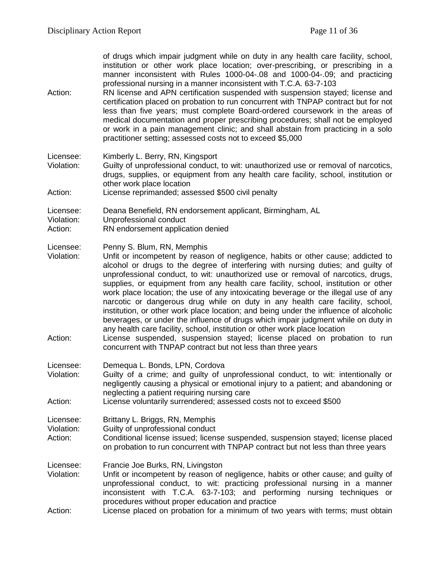of drugs which impair judgment while on duty in any health care facility, school, institution or other work place location; over-prescribing, or prescribing in a manner inconsistent with Rules 1000-04-.08 and 1000-04-.09; and practicing professional nursing in a manner inconsistent with T.C.A. 63-7-103

Action: RN license and APN certification suspended with suspension stayed; license and certification placed on probation to run concurrent with TNPAP contract but for not less than five years; must complete Board-ordered coursework in the areas of medical documentation and proper prescribing procedures; shall not be employed or work in a pain management clinic; and shall abstain from practicing in a solo practitioner setting; assessed costs not to exceed \$5,000

Licensee: Kimberly L. Berry, RN, Kingsport

- Violation: Guilty of unprofessional conduct, to wit: unauthorized use or removal of narcotics, drugs, supplies, or equipment from any health care facility, school, institution or other work place location
- Action: License reprimanded; assessed \$500 civil penalty

Licensee: Deana Benefield, RN endorsement applicant, Birmingham, AL

- Violation: Unprofessional conduct
- Action: RN endorsement application denied
- Licensee: Penny S. Blum, RN, Memphis
- Violation: Unfit or incompetent by reason of negligence, habits or other cause; addicted to alcohol or drugs to the degree of interfering with nursing duties; and guilty of unprofessional conduct, to wit: unauthorized use or removal of narcotics, drugs, supplies, or equipment from any health care facility, school, institution or other work place location; the use of any intoxicating beverage or the illegal use of any narcotic or dangerous drug while on duty in any health care facility, school, institution, or other work place location; and being under the influence of alcoholic beverages, or under the influence of drugs which impair judgment while on duty in any health care facility, school, institution or other work place location
- Action: License suspended, suspension stayed; license placed on probation to run concurrent with TNPAP contract but not less than three years
- Licensee: Demequa L. Bonds, LPN, Cordova
- Violation: Guilty of a crime; and guilty of unprofessional conduct, to wit: intentionally or negligently causing a physical or emotional injury to a patient; and abandoning or neglecting a patient requiring nursing care
- Action: License voluntarily surrendered; assessed costs not to exceed \$500
- Licensee: Brittany L. Briggs, RN, Memphis
- Violation: Guilty of unprofessional conduct
- Action: Conditional license issued; license suspended, suspension stayed; license placed on probation to run concurrent with TNPAP contract but not less than three years

Licensee: Francie Joe Burks, RN, Livingston<br>Violation: Unfit or incompetent by reason of

- Unfit or incompetent by reason of negligence, habits or other cause; and guilty of unprofessional conduct, to wit: practicing professional nursing in a manner inconsistent with T.C.A. 63-7-103; and performing nursing techniques or procedures without proper education and practice
- Action: License placed on probation for a minimum of two years with terms; must obtain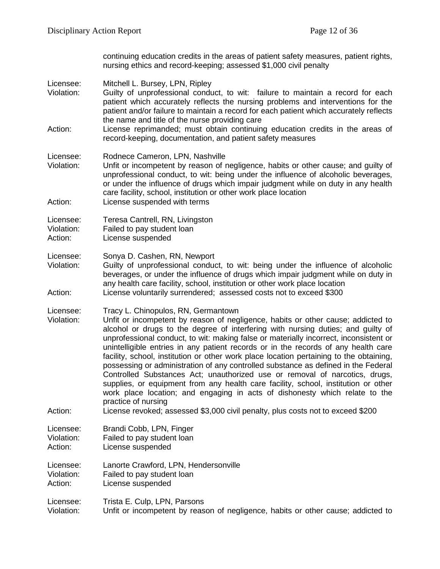continuing education credits in the areas of patient safety measures, patient rights, nursing ethics and record-keeping; assessed \$1,000 civil penalty

- Licensee: Mitchell L. Bursey, LPN, Ripley Violation: Guilty of unprofessional conduct, to wit: failure to maintain a record for each
- patient which accurately reflects the nursing problems and interventions for the patient and/or failure to maintain a record for each patient which accurately reflects the name and title of the nurse providing care
- Action: License reprimanded; must obtain continuing education credits in the areas of record-keeping, documentation, and patient safety measures

#### Licensee: Rodnece Cameron, LPN, Nashville

- Violation: Unfit or incompetent by reason of negligence, habits or other cause; and guilty of unprofessional conduct, to wit: being under the influence of alcoholic beverages, or under the influence of drugs which impair judgment while on duty in any health care facility, school, institution or other work place location Action: License suspended with terms
- 
- Licensee: Teresa Cantrell, RN, Livingston
- Violation: Failed to pay student loan
- Action: License suspended

Licensee: Sonya D. Cashen, RN, Newport<br>Violation: Guilty of unprofessional conduc

- Guilty of unprofessional conduct, to wit: being under the influence of alcoholic beverages, or under the influence of drugs which impair judgment while on duty in any health care facility, school, institution or other work place location Action: License voluntarily surrendered; assessed costs not to exceed \$300
- Licensee: Tracy L. Chinopulos, RN, Germantown
- Violation: Unfit or incompetent by reason of negligence, habits or other cause; addicted to alcohol or drugs to the degree of interfering with nursing duties; and guilty of unprofessional conduct, to wit: making false or materially incorrect, inconsistent or unintelligible entries in any patient records or in the records of any health care facility, school, institution or other work place location pertaining to the obtaining, possessing or administration of any controlled substance as defined in the Federal Controlled Substances Act; unauthorized use or removal of narcotics, drugs, supplies, or equipment from any health care facility, school, institution or other work place location; and engaging in acts of dishonesty which relate to the practice of nursing
- Action: License revoked; assessed \$3,000 civil penalty, plus costs not to exceed \$200
- Licensee: Brandi Cobb, LPN, Finger Violation: Failed to pay student loan Action: License suspended

Licensee: Lanorte Crawford, LPN, Hendersonville<br>Violation: Failed to pay student loan Violation: Failed to pay student loan<br>Action: License suspended License suspended

#### Licensee: Trista E. Culp, LPN, Parsons Violation: Unfit or incompetent by reason of negligence, habits or other cause; addicted to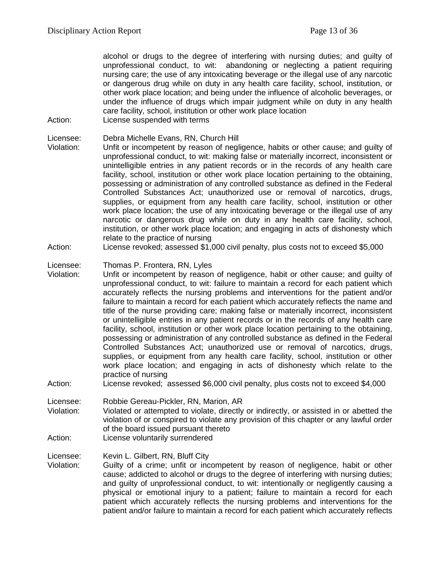alcohol or drugs to the degree of interfering with nursing duties; and guilty of unprofessional conduct, to wit: abandoning or neglecting a patient requiring nursing care; the use of any intoxicating beverage or the illegal use of any narcotic or dangerous drug while on duty in any health care facility, school, institution, or other work place location; and being under the influence of alcoholic beverages, or under the influence of drugs which impair judgment while on duty in any health care facility, school, institution or other work place location

- Action: License suspended with terms
- Licensee: Debra Michelle Evans, RN, Church Hill<br>Violation: Unfit or incompetent by reason of neal
- Unfit or incompetent by reason of negligence, habits or other cause; and guilty of unprofessional conduct, to wit: making false or materially incorrect, inconsistent or unintelligible entries in any patient records or in the records of any health care facility, school, institution or other work place location pertaining to the obtaining, possessing or administration of any controlled substance as defined in the Federal Controlled Substances Act; unauthorized use or removal of narcotics, drugs, supplies, or equipment from any health care facility, school, institution or other work place location; the use of any intoxicating beverage or the illegal use of any narcotic or dangerous drug while on duty in any health care facility, school, institution, or other work place location; and engaging in acts of dishonesty which relate to the practice of nursing
- Action: License revoked; assessed \$1,000 civil penalty, plus costs not to exceed \$5,000

# Licensee: Thomas P. Frontera, RN, Lyles<br>Violation: Unfit or incompetent by reason

- Unfit or incompetent by reason of negligence, habit or other cause; and guilty of unprofessional conduct, to wit: failure to maintain a record for each patient which accurately reflects the nursing problems and interventions for the patient and/or failure to maintain a record for each patient which accurately reflects the name and title of the nurse providing care; making false or materially incorrect, inconsistent or unintelligible entries in any patient records or in the records of any health care facility, school, institution or other work place location pertaining to the obtaining, possessing or administration of any controlled substance as defined in the Federal Controlled Substances Act; unauthorized use or removal of narcotics, drugs, supplies, or equipment from any health care facility, school, institution or other work place location; and engaging in acts of dishonesty which relate to the practice of nursing
- Action: License revoked; assessed \$6,000 civil penalty, plus costs not to exceed \$4,000
- Licensee: Robbie Gereau-Pickler, RN, Marion, AR Violation: Violated or attempted to violate, directly or indirectly, or assisted in or abetted the violation of or conspired to violate any provision of this chapter or any lawful order of the board issued pursuant thereto Action: License voluntarily surrendered

Licensee: Kevin L. Gilbert, RN, Bluff City

Violation: Guilty of a crime; unfit or incompetent by reason of negligence, habit or other cause; addicted to alcohol or drugs to the degree of interfering with nursing duties; and guilty of unprofessional conduct, to wit: intentionally or negligently causing a physical or emotional injury to a patient; failure to maintain a record for each patient which accurately reflects the nursing problems and interventions for the patient and/or failure to maintain a record for each patient which accurately reflects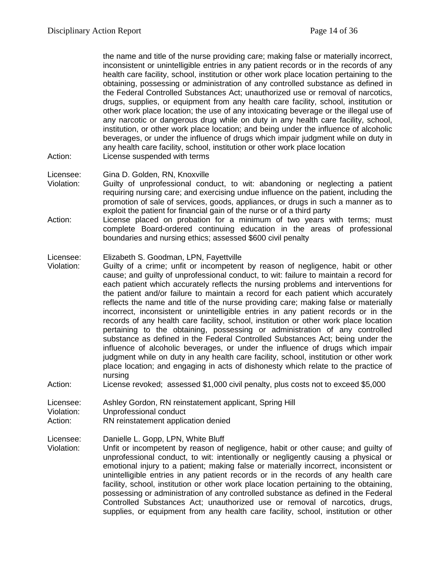the name and title of the nurse providing care; making false or materially incorrect, inconsistent or unintelligible entries in any patient records or in the records of any health care facility, school, institution or other work place location pertaining to the obtaining, possessing or administration of any controlled substance as defined in the Federal Controlled Substances Act; unauthorized use or removal of narcotics, drugs, supplies, or equipment from any health care facility, school, institution or other work place location; the use of any intoxicating beverage or the illegal use of any narcotic or dangerous drug while on duty in any health care facility, school, institution, or other work place location; and being under the influence of alcoholic beverages, or under the influence of drugs which impair judgment while on duty in any health care facility, school, institution or other work place location Action: License suspended with terms

- Licensee: Gina D. Golden, RN, Knoxville
- Violation: Guilty of unprofessional conduct, to wit: abandoning or neglecting a patient requiring nursing care; and exercising undue influence on the patient, including the promotion of sale of services, goods, appliances, or drugs in such a manner as to exploit the patient for financial gain of the nurse or of a third party
- Action: License placed on probation for a minimum of two years with terms; must complete Board-ordered continuing education in the areas of professional boundaries and nursing ethics; assessed \$600 civil penalty

#### Licensee: Elizabeth S. Goodman, LPN, Fayettville

- Violation: Guilty of a crime; unfit or incompetent by reason of negligence, habit or other cause; and guilty of unprofessional conduct, to wit: failure to maintain a record for each patient which accurately reflects the nursing problems and interventions for the patient and/or failure to maintain a record for each patient which accurately reflects the name and title of the nurse providing care; making false or materially incorrect, inconsistent or unintelligible entries in any patient records or in the records of any health care facility, school, institution or other work place location pertaining to the obtaining, possessing or administration of any controlled substance as defined in the Federal Controlled Substances Act; being under the influence of alcoholic beverages, or under the influence of drugs which impair judgment while on duty in any health care facility, school, institution or other work place location; and engaging in acts of dishonesty which relate to the practice of nursing
- Action: License revoked; assessed \$1,000 civil penalty, plus costs not to exceed \$5,000

Licensee: Ashley Gordon, RN reinstatement applicant, Spring Hill

Violation: Unprofessional conduct

Action: RN reinstatement application denied

Licensee: Danielle L. Gopp, LPN, White Bluff

Violation: Unfit or incompetent by reason of negligence, habit or other cause; and guilty of unprofessional conduct, to wit: intentionally or negligently causing a physical or emotional injury to a patient; making false or materially incorrect, inconsistent or unintelligible entries in any patient records or in the records of any health care facility, school, institution or other work place location pertaining to the obtaining, possessing or administration of any controlled substance as defined in the Federal Controlled Substances Act; unauthorized use or removal of narcotics, drugs, supplies, or equipment from any health care facility, school, institution or other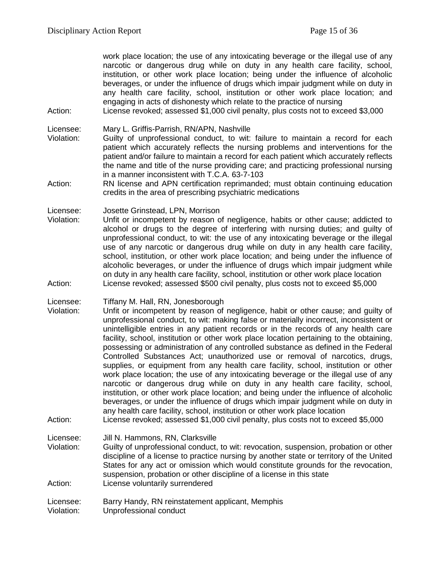work place location; the use of any intoxicating beverage or the illegal use of any narcotic or dangerous drug while on duty in any health care facility, school, institution, or other work place location; being under the influence of alcoholic beverages, or under the influence of drugs which impair judgment while on duty in any health care facility, school, institution or other work place location; and engaging in acts of dishonesty which relate to the practice of nursing

Action: License revoked; assessed \$1,000 civil penalty, plus costs not to exceed \$3,000

Licensee: Mary L. Griffis-Parrish, RN/APN, Nashville<br>Violation: Guilty of unprofessional conduct. to wit:

Guilty of unprofessional conduct, to wit: failure to maintain a record for each patient which accurately reflects the nursing problems and interventions for the patient and/or failure to maintain a record for each patient which accurately reflects the name and title of the nurse providing care; and practicing professional nursing in a manner inconsistent with T.C.A. 63-7-103

Action: RN license and APN certification reprimanded; must obtain continuing education credits in the area of prescribing psychiatric medications

Licensee: Josette Grinstead, LPN, Morrison

Violation: Unfit or incompetent by reason of negligence, habits or other cause; addicted to alcohol or drugs to the degree of interfering with nursing duties; and guilty of unprofessional conduct, to wit: the use of any intoxicating beverage or the illegal use of any narcotic or dangerous drug while on duty in any health care facility, school, institution, or other work place location; and being under the influence of alcoholic beverages, or under the influence of drugs which impair judgment while on duty in any health care facility, school, institution or other work place location Action: License revoked; assessed \$500 civil penalty, plus costs not to exceed \$5,000

Licensee: Tiffany M. Hall, RN, Jonesborough

- Violation: Unfit or incompetent by reason of negligence, habit or other cause; and guilty of unprofessional conduct, to wit: making false or materially incorrect, inconsistent or unintelligible entries in any patient records or in the records of any health care facility, school, institution or other work place location pertaining to the obtaining, possessing or administration of any controlled substance as defined in the Federal Controlled Substances Act; unauthorized use or removal of narcotics, drugs, supplies, or equipment from any health care facility, school, institution or other work place location; the use of any intoxicating beverage or the illegal use of any narcotic or dangerous drug while on duty in any health care facility, school, institution, or other work place location; and being under the influence of alcoholic beverages, or under the influence of drugs which impair judgment while on duty in any health care facility, school, institution or other work place location
- Action: License revoked; assessed \$1,000 civil penalty, plus costs not to exceed \$5,000

Licensee: Jill N. Hammons, RN, Clarksville

Violation: Guilty of unprofessional conduct, to wit: revocation, suspension, probation or other discipline of a license to practice nursing by another state or territory of the United States for any act or omission which would constitute grounds for the revocation, suspension, probation or other discipline of a license in this state Action: License voluntarily surrendered

Licensee: Barry Handy, RN reinstatement applicant, Memphis Violation: Unprofessional conduct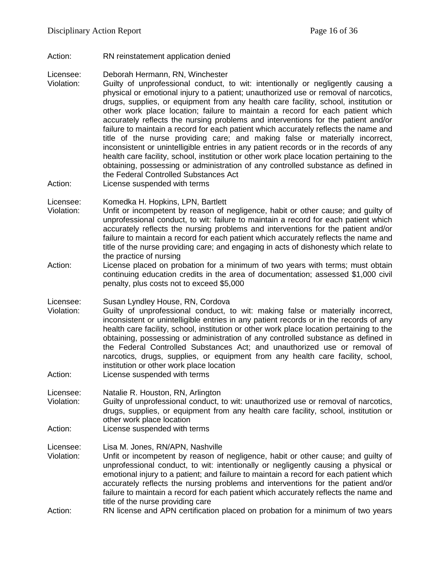Action: RN reinstatement application denied

Licensee: Deborah Hermann, RN, Winchester

- Violation: Guilty of unprofessional conduct, to wit: intentionally or negligently causing a physical or emotional injury to a patient; unauthorized use or removal of narcotics, drugs, supplies, or equipment from any health care facility, school, institution or other work place location; failure to maintain a record for each patient which accurately reflects the nursing problems and interventions for the patient and/or failure to maintain a record for each patient which accurately reflects the name and title of the nurse providing care; and making false or materially incorrect, inconsistent or unintelligible entries in any patient records or in the records of any health care facility, school, institution or other work place location pertaining to the obtaining, possessing or administration of any controlled substance as defined in the Federal Controlled Substances Act
- Action: License suspended with terms

Licensee: Komedka H. Hopkins, LPN, Bartlett

- Violation: Unfit or incompetent by reason of negligence, habit or other cause; and guilty of unprofessional conduct, to wit: failure to maintain a record for each patient which accurately reflects the nursing problems and interventions for the patient and/or failure to maintain a record for each patient which accurately reflects the name and title of the nurse providing care; and engaging in acts of dishonesty which relate to the practice of nursing
- Action: License placed on probation for a minimum of two years with terms; must obtain continuing education credits in the area of documentation; assessed \$1,000 civil penalty, plus costs not to exceed \$5,000

Licensee: Susan Lyndley House, RN, Cordova

- Violation: Guilty of unprofessional conduct, to wit: making false or materially incorrect, inconsistent or unintelligible entries in any patient records or in the records of any health care facility, school, institution or other work place location pertaining to the obtaining, possessing or administration of any controlled substance as defined in the Federal Controlled Substances Act; and unauthorized use or removal of narcotics, drugs, supplies, or equipment from any health care facility, school, institution or other work place location
- Action: License suspended with terms

Licensee: Natalie R. Houston, RN, Arlington Guilty of unprofessional conduct, to wit: unauthorized use or removal of narcotics, drugs, supplies, or equipment from any health care facility, school, institution or

- other work place location
- Action: License suspended with terms

Licensee: Lisa M. Jones, RN/APN, Nashville

Violation: Unfit or incompetent by reason of negligence, habit or other cause; and guilty of unprofessional conduct, to wit: intentionally or negligently causing a physical or emotional injury to a patient; and failure to maintain a record for each patient which accurately reflects the nursing problems and interventions for the patient and/or failure to maintain a record for each patient which accurately reflects the name and title of the nurse providing care

Action: RN license and APN certification placed on probation for a minimum of two years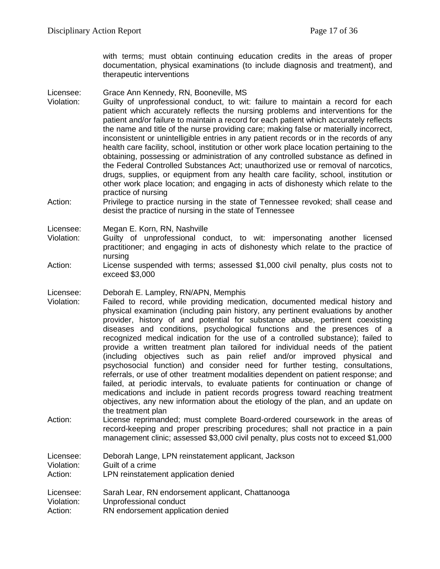with terms; must obtain continuing education credits in the areas of proper documentation, physical examinations (to include diagnosis and treatment), and therapeutic interventions

#### Licensee: Grace Ann Kennedy, RN, Booneville, MS

- Violation: Guilty of unprofessional conduct, to wit: failure to maintain a record for each patient which accurately reflects the nursing problems and interventions for the patient and/or failure to maintain a record for each patient which accurately reflects the name and title of the nurse providing care; making false or materially incorrect, inconsistent or unintelligible entries in any patient records or in the records of any health care facility, school, institution or other work place location pertaining to the obtaining, possessing or administration of any controlled substance as defined in the Federal Controlled Substances Act; unauthorized use or removal of narcotics, drugs, supplies, or equipment from any health care facility, school, institution or other work place location; and engaging in acts of dishonesty which relate to the practice of nursing
- Action: Privilege to practice nursing in the state of Tennessee revoked; shall cease and desist the practice of nursing in the state of Tennessee

Licensee: Megan E. Korn, RN, Nashville

- Violation: Guilty of unprofessional conduct, to wit: impersonating another licensed practitioner; and engaging in acts of dishonesty which relate to the practice of nursing
- Action: License suspended with terms; assessed \$1,000 civil penalty, plus costs not to exceed \$3,000

#### Licensee: Deborah E. Lampley, RN/APN, Memphis

- Violation: Failed to record, while providing medication, documented medical history and physical examination (including pain history, any pertinent evaluations by another provider, history of and potential for substance abuse, pertinent coexisting diseases and conditions, psychological functions and the presences of a recognized medical indication for the use of a controlled substance); failed to provide a written treatment plan tailored for individual needs of the patient (including objectives such as pain relief and/or improved physical and psychosocial function) and consider need for further testing, consultations, referrals, or use of other treatment modalities dependent on patient response; and failed, at periodic intervals, to evaluate patients for continuation or change of medications and include in patient records progress toward reaching treatment objectives, any new information about the etiology of the plan, and an update on the treatment plan
- Action: License reprimanded; must complete Board-ordered coursework in the areas of record-keeping and proper prescribing procedures; shall not practice in a pain management clinic; assessed \$3,000 civil penalty, plus costs not to exceed \$1,000

| Licensee:  | Deborah Lange, LPN reinstatement applicant, Jackson |
|------------|-----------------------------------------------------|
| Violation: | Guilt of a crime                                    |
| Action:    | LPN reinstatement application denied                |
| Licensee:  | Sarah Lear, RN endorsement applicant, Chattanooga   |
| Violation: | Unprofessional conduct                              |

Action: RN endorsement application denied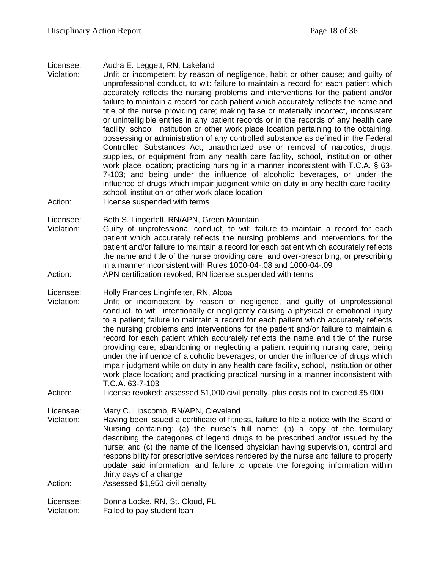#### Licensee: Audra E. Leggett, RN, Lakeland

- Violation: Unfit or incompetent by reason of negligence, habit or other cause; and guilty of unprofessional conduct, to wit: failure to maintain a record for each patient which accurately reflects the nursing problems and interventions for the patient and/or failure to maintain a record for each patient which accurately reflects the name and title of the nurse providing care; making false or materially incorrect, inconsistent or unintelligible entries in any patient records or in the records of any health care facility, school, institution or other work place location pertaining to the obtaining, possessing or administration of any controlled substance as defined in the Federal Controlled Substances Act; unauthorized use or removal of narcotics, drugs, supplies, or equipment from any health care facility, school, institution or other work place location; practicing nursing in a manner inconsistent with T.C.A. § 63- 7-103; and being under the influence of alcoholic beverages, or under the influence of drugs which impair judgment while on duty in any health care facility, school, institution or other work place location
- Action: License suspended with terms

Licensee: Beth S. Lingerfelt, RN/APN, Green Mountain

Violation: Guilty of unprofessional conduct, to wit: failure to maintain a record for each patient which accurately reflects the nursing problems and interventions for the patient and/or failure to maintain a record for each patient which accurately reflects the name and title of the nurse providing care; and over-prescribing, or prescribing in a manner inconsistent with Rules 1000-04-.08 and 1000-04-.09

Action: APN certification revoked; RN license suspended with terms

Licensee: Holly Frances Linginfelter, RN, Alcoa

- Violation: Unfit or incompetent by reason of negligence, and guilty of unprofessional conduct, to wit: intentionally or negligently causing a physical or emotional injury to a patient; failure to maintain a record for each patient which accurately reflects the nursing problems and interventions for the patient and/or failure to maintain a record for each patient which accurately reflects the name and title of the nurse providing care; abandoning or neglecting a patient requiring nursing care; being under the influence of alcoholic beverages, or under the influence of drugs which impair judgment while on duty in any health care facility, school, institution or other work place location; and practicing practical nursing in a manner inconsistent with T.C.A. 63-7-103
- Action: License revoked; assessed \$1,000 civil penalty, plus costs not to exceed \$5,000

Licensee: Mary C. Lipscomb, RN/APN, Cleveland

Violation: Having been issued a certificate of fitness, failure to file a notice with the Board of Nursing containing: (a) the nurse's full name; (b) a copy of the formulary describing the categories of legend drugs to be prescribed and/or issued by the nurse; and (c) the name of the licensed physician having supervision, control and responsibility for prescriptive services rendered by the nurse and failure to properly update said information; and failure to update the foregoing information within thirty days of a change

Action: Assessed \$1,950 civil penalty

Licensee: Donna Locke, RN, St. Cloud, FL Violation: Failed to pay student loan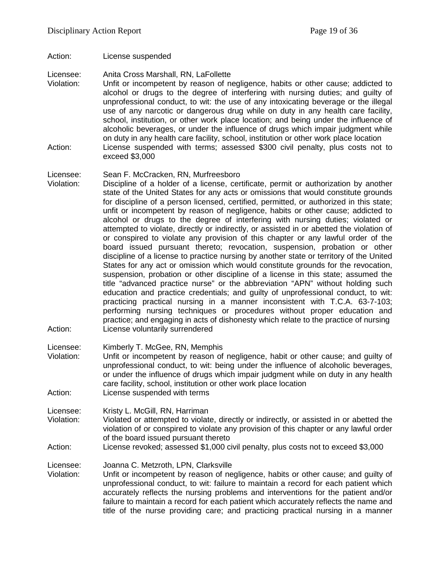Action: License suspended

Licensee: Anita Cross Marshall, RN, LaFollette

Violation: Unfit or incompetent by reason of negligence, habits or other cause; addicted to alcohol or drugs to the degree of interfering with nursing duties; and guilty of unprofessional conduct, to wit: the use of any intoxicating beverage or the illegal use of any narcotic or dangerous drug while on duty in any health care facility, school, institution, or other work place location; and being under the influence of alcoholic beverages, or under the influence of drugs which impair judgment while on duty in any health care facility, school, institution or other work place location Action: License suspended with terms; assessed \$300 civil penalty, plus costs not to exceed \$3,000

#### Licensee: Sean F. McCracken, RN, Murfreesboro

Violation: Discipline of a holder of a license, certificate, permit or authorization by another state of the United States for any acts or omissions that would constitute grounds for discipline of a person licensed, certified, permitted, or authorized in this state; unfit or incompetent by reason of negligence, habits or other cause; addicted to alcohol or drugs to the degree of interfering with nursing duties; violated or attempted to violate, directly or indirectly, or assisted in or abetted the violation of or conspired to violate any provision of this chapter or any lawful order of the board issued pursuant thereto; revocation, suspension, probation or other discipline of a license to practice nursing by another state or territory of the United States for any act or omission which would constitute grounds for the revocation, suspension, probation or other discipline of a license in this state; assumed the title "advanced practice nurse" or the abbreviation "APN" without holding such education and practice credentials; and guilty of unprofessional conduct, to wit: practicing practical nursing in a manner inconsistent with T.C.A. 63-7-103; performing nursing techniques or procedures without proper education and practice; and engaging in acts of dishonesty which relate to the practice of nursing Action: License voluntarily surrendered

Licensee: Kimberly T. McGee, RN, Memphis

- Violation: Unfit or incompetent by reason of negligence, habit or other cause; and guilty of unprofessional conduct, to wit: being under the influence of alcoholic beverages, or under the influence of drugs which impair judgment while on duty in any health care facility, school, institution or other work place location Action: License suspended with terms
- 
- Licensee: Kristy L. McGill, RN, Harriman
- Violation: Violated or attempted to violate, directly or indirectly, or assisted in or abetted the violation of or conspired to violate any provision of this chapter or any lawful order of the board issued pursuant thereto

#### Action: License revoked; assessed \$1,000 civil penalty, plus costs not to exceed \$3,000

Licensee: Joanna C. Metzroth, LPN, Clarksville<br>Violation: Unfit or incompetent by reason of ne Unfit or incompetent by reason of negligence, habits or other cause; and guilty of unprofessional conduct, to wit: failure to maintain a record for each patient which accurately reflects the nursing problems and interventions for the patient and/or failure to maintain a record for each patient which accurately reflects the name and title of the nurse providing care; and practicing practical nursing in a manner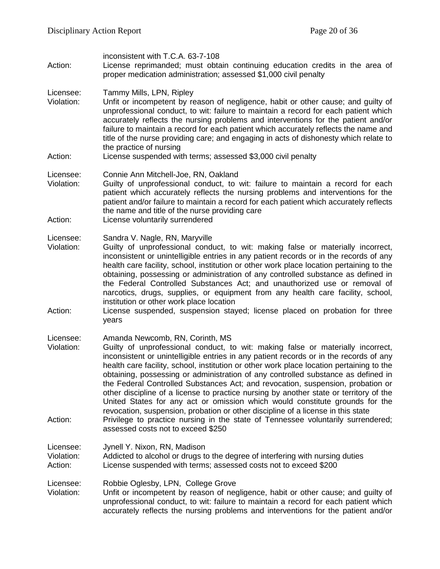| Action:                            | inconsistent with T.C.A. 63-7-108<br>License reprimanded; must obtain continuing education credits in the area of<br>proper medication administration; assessed \$1,000 civil penalty                                                                                                                                                                                                                                                                                                                                                                                                                                                                                                                                                                                                                                                                                    |
|------------------------------------|--------------------------------------------------------------------------------------------------------------------------------------------------------------------------------------------------------------------------------------------------------------------------------------------------------------------------------------------------------------------------------------------------------------------------------------------------------------------------------------------------------------------------------------------------------------------------------------------------------------------------------------------------------------------------------------------------------------------------------------------------------------------------------------------------------------------------------------------------------------------------|
| Licensee:<br>Violation:            | Tammy Mills, LPN, Ripley<br>Unfit or incompetent by reason of negligence, habit or other cause; and guilty of<br>unprofessional conduct, to wit: failure to maintain a record for each patient which<br>accurately reflects the nursing problems and interventions for the patient and/or<br>failure to maintain a record for each patient which accurately reflects the name and<br>title of the nurse providing care; and engaging in acts of dishonesty which relate to<br>the practice of nursing                                                                                                                                                                                                                                                                                                                                                                    |
| Action:                            | License suspended with terms; assessed \$3,000 civil penalty                                                                                                                                                                                                                                                                                                                                                                                                                                                                                                                                                                                                                                                                                                                                                                                                             |
| Licensee:<br>Violation:<br>Action: | Connie Ann Mitchell-Joe, RN, Oakland<br>Guilty of unprofessional conduct, to wit: failure to maintain a record for each<br>patient which accurately reflects the nursing problems and interventions for the<br>patient and/or failure to maintain a record for each patient which accurately reflects<br>the name and title of the nurse providing care<br>License voluntarily surrendered                                                                                                                                                                                                                                                                                                                                                                                                                                                                               |
| Licensee:<br>Violation:<br>Action: | Sandra V. Nagle, RN, Maryville<br>Guilty of unprofessional conduct, to wit: making false or materially incorrect,<br>inconsistent or unintelligible entries in any patient records or in the records of any<br>health care facility, school, institution or other work place location pertaining to the<br>obtaining, possessing or administration of any controlled substance as defined in<br>the Federal Controlled Substances Act; and unauthorized use or removal of<br>narcotics, drugs, supplies, or equipment from any health care facility, school,<br>institution or other work place location<br>License suspended, suspension stayed; license placed on probation for three<br>years                                                                                                                                                                         |
| Licensee:<br>Violation:<br>Action: | Amanda Newcomb, RN, Corinth, MS<br>Guilty of unprofessional conduct, to wit: making false or materially incorrect,<br>inconsistent or unintelligible entries in any patient records or in the records of any<br>health care facility, school, institution or other work place location pertaining to the<br>obtaining, possessing or administration of any controlled substance as defined in<br>the Federal Controlled Substances Act; and revocation, suspension, probation or<br>other discipline of a license to practice nursing by another state or territory of the<br>United States for any act or omission which would constitute grounds for the<br>revocation, suspension, probation or other discipline of a license in this state<br>Privilege to practice nursing in the state of Tennessee voluntarily surrendered;<br>assessed costs not to exceed \$250 |
| Licensee:<br>Violation:<br>Action: | Jynell Y. Nixon, RN, Madison<br>Addicted to alcohol or drugs to the degree of interfering with nursing duties<br>License suspended with terms; assessed costs not to exceed \$200                                                                                                                                                                                                                                                                                                                                                                                                                                                                                                                                                                                                                                                                                        |
| Licensee:<br>Violation:            | Robbie Oglesby, LPN, College Grove<br>Unfit or incompetent by reason of negligence, habit or other cause; and guilty of<br>unprofessional conduct, to wit: failure to maintain a record for each patient which<br>accurately reflects the nursing problems and interventions for the patient and/or                                                                                                                                                                                                                                                                                                                                                                                                                                                                                                                                                                      |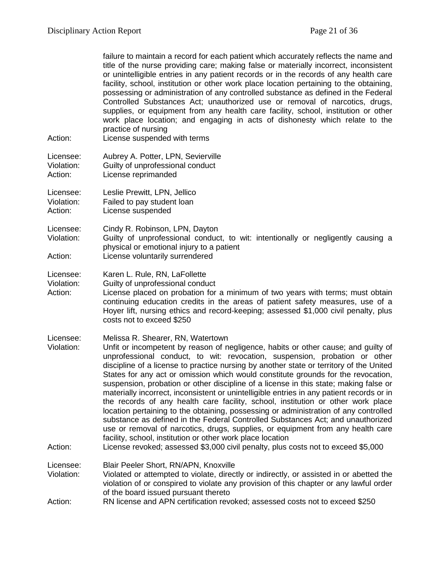| Action:                            | failure to maintain a record for each patient which accurately reflects the name and<br>title of the nurse providing care; making false or materially incorrect, inconsistent<br>or unintelligible entries in any patient records or in the records of any health care<br>facility, school, institution or other work place location pertaining to the obtaining,<br>possessing or administration of any controlled substance as defined in the Federal<br>Controlled Substances Act; unauthorized use or removal of narcotics, drugs,<br>supplies, or equipment from any health care facility, school, institution or other<br>work place location; and engaging in acts of dishonesty which relate to the<br>practice of nursing<br>License suspended with terms                                                                                                                                                                                                                                                                                                               |
|------------------------------------|----------------------------------------------------------------------------------------------------------------------------------------------------------------------------------------------------------------------------------------------------------------------------------------------------------------------------------------------------------------------------------------------------------------------------------------------------------------------------------------------------------------------------------------------------------------------------------------------------------------------------------------------------------------------------------------------------------------------------------------------------------------------------------------------------------------------------------------------------------------------------------------------------------------------------------------------------------------------------------------------------------------------------------------------------------------------------------|
| Licensee:<br>Violation:<br>Action: | Aubrey A. Potter, LPN, Sevierville<br>Guilty of unprofessional conduct<br>License reprimanded                                                                                                                                                                                                                                                                                                                                                                                                                                                                                                                                                                                                                                                                                                                                                                                                                                                                                                                                                                                    |
| Licensee:<br>Violation:<br>Action: | Leslie Prewitt, LPN, Jellico<br>Failed to pay student loan<br>License suspended                                                                                                                                                                                                                                                                                                                                                                                                                                                                                                                                                                                                                                                                                                                                                                                                                                                                                                                                                                                                  |
| Licensee:<br>Violation:<br>Action: | Cindy R. Robinson, LPN, Dayton<br>Guilty of unprofessional conduct, to wit: intentionally or negligently causing a<br>physical or emotional injury to a patient<br>License voluntarily surrendered                                                                                                                                                                                                                                                                                                                                                                                                                                                                                                                                                                                                                                                                                                                                                                                                                                                                               |
| Licensee:<br>Violation:<br>Action: | Karen L. Rule, RN, LaFollette<br>Guilty of unprofessional conduct<br>License placed on probation for a minimum of two years with terms; must obtain<br>continuing education credits in the areas of patient safety measures, use of a<br>Hoyer lift, nursing ethics and record-keeping; assessed \$1,000 civil penalty, plus<br>costs not to exceed \$250                                                                                                                                                                                                                                                                                                                                                                                                                                                                                                                                                                                                                                                                                                                        |
| Licensee:<br>Violation:<br>Action: | Melissa R. Shearer, RN, Watertown<br>Unfit or incompetent by reason of negligence, habits or other cause; and guilty of<br>unprofessional conduct, to wit: revocation, suspension, probation or other<br>discipline of a license to practice nursing by another state or territory of the United<br>States for any act or omission which would constitute grounds for the revocation,<br>suspension, probation or other discipline of a license in this state; making false or<br>materially incorrect, inconsistent or unintelligible entries in any patient records or in<br>the records of any health care facility, school, institution or other work place<br>location pertaining to the obtaining, possessing or administration of any controlled<br>substance as defined in the Federal Controlled Substances Act; and unauthorized<br>use or removal of narcotics, drugs, supplies, or equipment from any health care<br>facility, school, institution or other work place location<br>License revoked; assessed \$3,000 civil penalty, plus costs not to exceed \$5,000 |
|                                    |                                                                                                                                                                                                                                                                                                                                                                                                                                                                                                                                                                                                                                                                                                                                                                                                                                                                                                                                                                                                                                                                                  |
| Licensee:<br>Violation:<br>Action: | Blair Peeler Short, RN/APN, Knoxville<br>Violated or attempted to violate, directly or indirectly, or assisted in or abetted the<br>violation of or conspired to violate any provision of this chapter or any lawful order<br>of the board issued pursuant thereto<br>RN license and APN certification revoked; assessed costs not to exceed \$250                                                                                                                                                                                                                                                                                                                                                                                                                                                                                                                                                                                                                                                                                                                               |
|                                    |                                                                                                                                                                                                                                                                                                                                                                                                                                                                                                                                                                                                                                                                                                                                                                                                                                                                                                                                                                                                                                                                                  |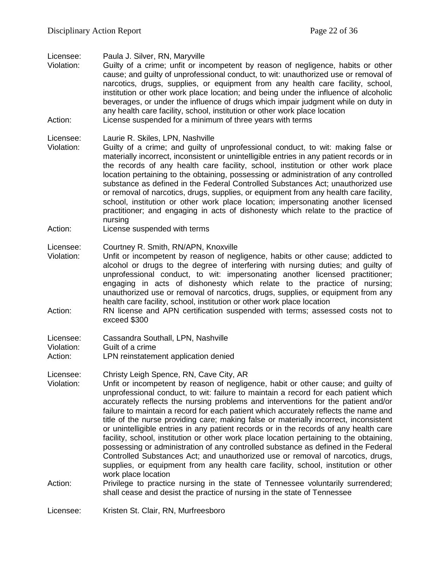Licensee: Paula J. Silver, RN, Maryville

Guilty of a crime; unfit or incompetent by reason of negligence, habits or other cause; and guilty of unprofessional conduct, to wit: unauthorized use or removal of narcotics, drugs, supplies, or equipment from any health care facility, school, institution or other work place location; and being under the influence of alcoholic beverages, or under the influence of drugs which impair judgment while on duty in any health care facility, school, institution or other work place location Action: License suspended for a minimum of three years with terms

- Licensee: Laurie R. Skiles, LPN, Nashville<br>Violation: Guilty of a crime: and quilty of Guilty of a crime; and guilty of unprofessional conduct, to wit: making false or materially incorrect, inconsistent or unintelligible entries in any patient records or in the records of any health care facility, school, institution or other work place location pertaining to the obtaining, possessing or administration of any controlled substance as defined in the Federal Controlled Substances Act; unauthorized use or removal of narcotics, drugs, supplies, or equipment from any health care facility, school, institution or other work place location; impersonating another licensed practitioner; and engaging in acts of dishonesty which relate to the practice of nursing
- Action: License suspended with terms

#### Licensee: Courtney R. Smith, RN/APN, Knoxville

- Violation: Unfit or incompetent by reason of negligence, habits or other cause; addicted to alcohol or drugs to the degree of interfering with nursing duties; and guilty of unprofessional conduct, to wit: impersonating another licensed practitioner; engaging in acts of dishonesty which relate to the practice of nursing; unauthorized use or removal of narcotics, drugs, supplies, or equipment from any health care facility, school, institution or other work place location
- Action: RN license and APN certification suspended with terms; assessed costs not to exceed \$300

Licensee: Christy Leigh Spence, RN, Cave City, AR

- Violation: Unfit or incompetent by reason of negligence, habit or other cause; and guilty of unprofessional conduct, to wit: failure to maintain a record for each patient which accurately reflects the nursing problems and interventions for the patient and/or failure to maintain a record for each patient which accurately reflects the name and title of the nurse providing care; making false or materially incorrect, inconsistent or unintelligible entries in any patient records or in the records of any health care facility, school, institution or other work place location pertaining to the obtaining, possessing or administration of any controlled substance as defined in the Federal Controlled Substances Act; and unauthorized use or removal of narcotics, drugs, supplies, or equipment from any health care facility, school, institution or other work place location
- Action: Privilege to practice nursing in the state of Tennessee voluntarily surrendered; shall cease and desist the practice of nursing in the state of Tennessee

Licensee: Kristen St. Clair, RN, Murfreesboro

Licensee: Cassandra Southall, LPN, Nashville Violation: Guilt of a crime Action: LPN reinstatement application denied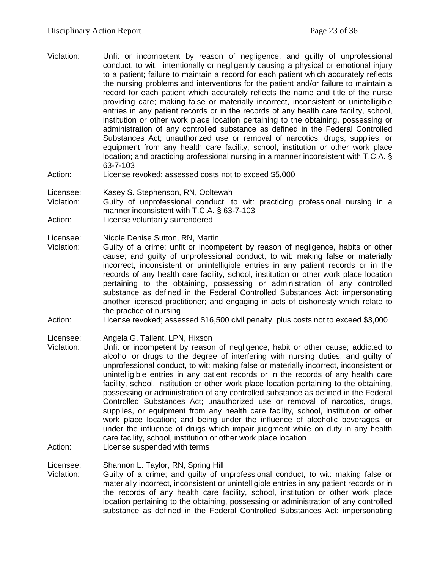- Violation: Unfit or incompetent by reason of negligence, and guilty of unprofessional conduct, to wit: intentionally or negligently causing a physical or emotional injury to a patient; failure to maintain a record for each patient which accurately reflects the nursing problems and interventions for the patient and/or failure to maintain a record for each patient which accurately reflects the name and title of the nurse providing care; making false or materially incorrect, inconsistent or unintelligible entries in any patient records or in the records of any health care facility, school, institution or other work place location pertaining to the obtaining, possessing or administration of any controlled substance as defined in the Federal Controlled Substances Act; unauthorized use or removal of narcotics, drugs, supplies, or equipment from any health care facility, school, institution or other work place location; and practicing professional nursing in a manner inconsistent with T.C.A. § 63-7-103
- Action: License revoked; assessed costs not to exceed \$5,000

Licensee: Kasey S. Stephenson, RN, Ooltewah

Violation: Guilty of unprofessional conduct, to wit: practicing professional nursing in a manner inconsistent with T.C.A. § 63-7-103

Action: License voluntarily surrendered

Licensee: Nicole Denise Sutton, RN, Martin

Violation: Guilty of a crime; unfit or incompetent by reason of negligence, habits or other cause; and guilty of unprofessional conduct, to wit: making false or materially incorrect, inconsistent or unintelligible entries in any patient records or in the records of any health care facility, school, institution or other work place location pertaining to the obtaining, possessing or administration of any controlled substance as defined in the Federal Controlled Substances Act; impersonating another licensed practitioner; and engaging in acts of dishonesty which relate to the practice of nursing

Action: License revoked; assessed \$16,500 civil penalty, plus costs not to exceed \$3,000

Licensee: Angela G. Tallent, LPN, Hixson<br>Violation: Unfit or incompetent by reasor

- Unfit or incompetent by reason of negligence, habit or other cause; addicted to alcohol or drugs to the degree of interfering with nursing duties; and guilty of unprofessional conduct, to wit: making false or materially incorrect, inconsistent or unintelligible entries in any patient records or in the records of any health care facility, school, institution or other work place location pertaining to the obtaining, possessing or administration of any controlled substance as defined in the Federal Controlled Substances Act; unauthorized use or removal of narcotics, drugs, supplies, or equipment from any health care facility, school, institution or other work place location; and being under the influence of alcoholic beverages, or under the influence of drugs which impair judgment while on duty in any health care facility, school, institution or other work place location
- Action: License suspended with terms

Licensee: Shannon L. Taylor, RN, Spring Hill<br>Violation: Guilty of a crime: and quilty of u

Guilty of a crime; and guilty of unprofessional conduct, to wit: making false or materially incorrect, inconsistent or unintelligible entries in any patient records or in the records of any health care facility, school, institution or other work place location pertaining to the obtaining, possessing or administration of any controlled substance as defined in the Federal Controlled Substances Act; impersonating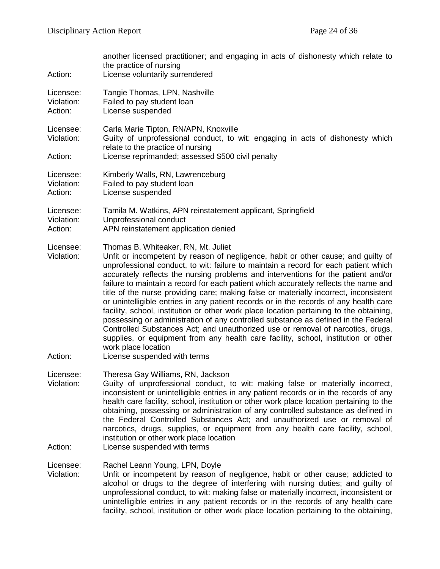| Action:                            | another licensed practitioner; and engaging in acts of dishonesty which relate to<br>the practice of nursing<br>License voluntarily surrendered                                                                                                                                                                                                                                                                                                                                                                                                                                                                                                                                                                                                                                                                                                                                                                                                                                                 |
|------------------------------------|-------------------------------------------------------------------------------------------------------------------------------------------------------------------------------------------------------------------------------------------------------------------------------------------------------------------------------------------------------------------------------------------------------------------------------------------------------------------------------------------------------------------------------------------------------------------------------------------------------------------------------------------------------------------------------------------------------------------------------------------------------------------------------------------------------------------------------------------------------------------------------------------------------------------------------------------------------------------------------------------------|
| Licensee:<br>Violation:<br>Action: | Tangie Thomas, LPN, Nashville<br>Failed to pay student loan<br>License suspended                                                                                                                                                                                                                                                                                                                                                                                                                                                                                                                                                                                                                                                                                                                                                                                                                                                                                                                |
| Licensee:<br>Violation:<br>Action: | Carla Marie Tipton, RN/APN, Knoxville<br>Guilty of unprofessional conduct, to wit: engaging in acts of dishonesty which<br>relate to the practice of nursing<br>License reprimanded; assessed \$500 civil penalty                                                                                                                                                                                                                                                                                                                                                                                                                                                                                                                                                                                                                                                                                                                                                                               |
| Licensee:<br>Violation:<br>Action: | Kimberly Walls, RN, Lawrenceburg<br>Failed to pay student loan<br>License suspended                                                                                                                                                                                                                                                                                                                                                                                                                                                                                                                                                                                                                                                                                                                                                                                                                                                                                                             |
| Licensee:<br>Violation:<br>Action: | Tamila M. Watkins, APN reinstatement applicant, Springfield<br>Unprofessional conduct<br>APN reinstatement application denied                                                                                                                                                                                                                                                                                                                                                                                                                                                                                                                                                                                                                                                                                                                                                                                                                                                                   |
| Licensee:<br>Violation:<br>Action: | Thomas B. Whiteaker, RN, Mt. Juliet<br>Unfit or incompetent by reason of negligence, habit or other cause; and guilty of<br>unprofessional conduct, to wit: failure to maintain a record for each patient which<br>accurately reflects the nursing problems and interventions for the patient and/or<br>failure to maintain a record for each patient which accurately reflects the name and<br>title of the nurse providing care; making false or materially incorrect, inconsistent<br>or unintelligible entries in any patient records or in the records of any health care<br>facility, school, institution or other work place location pertaining to the obtaining,<br>possessing or administration of any controlled substance as defined in the Federal<br>Controlled Substances Act; and unauthorized use or removal of narcotics, drugs,<br>supplies, or equipment from any health care facility, school, institution or other<br>work place location<br>License suspended with terms |
| Licensee:<br>Violation:<br>Action: | Theresa Gay Williams, RN, Jackson<br>Guilty of unprofessional conduct, to wit: making false or materially incorrect,<br>inconsistent or unintelligible entries in any patient records or in the records of any<br>health care facility, school, institution or other work place location pertaining to the<br>obtaining, possessing or administration of any controlled substance as defined in<br>the Federal Controlled Substances Act; and unauthorized use or removal of<br>narcotics, drugs, supplies, or equipment from any health care facility, school,<br>institution or other work place location<br>License suspended with terms                                                                                                                                                                                                                                                                                                                                                     |
| Licensee:<br>Violation:            | Rachel Leann Young, LPN, Doyle<br>Unfit or incompetent by reason of negligence, habit or other cause; addicted to<br>alcohol or drugs to the degree of interfering with nursing duties; and guilty of<br>unprofessional conduct, to wit: making false or materially incorrect, inconsistent or<br>unintelligible entries in any patient records or in the records of any health care                                                                                                                                                                                                                                                                                                                                                                                                                                                                                                                                                                                                            |

facility, school, institution or other work place location pertaining to the obtaining,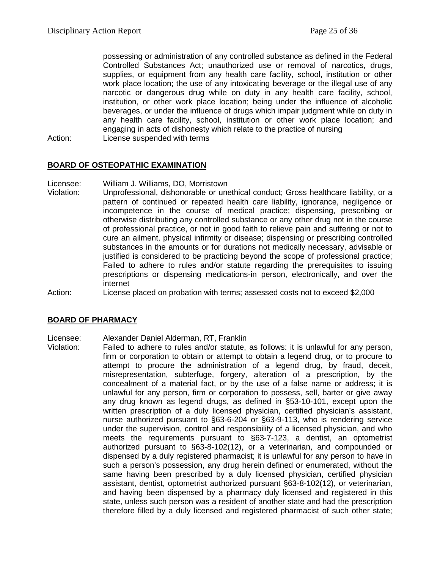possessing or administration of any controlled substance as defined in the Federal Controlled Substances Act; unauthorized use or removal of narcotics, drugs, supplies, or equipment from any health care facility, school, institution or other work place location; the use of any intoxicating beverage or the illegal use of any narcotic or dangerous drug while on duty in any health care facility, school, institution, or other work place location; being under the influence of alcoholic beverages, or under the influence of drugs which impair judgment while on duty in any health care facility, school, institution or other work place location; and engaging in acts of dishonesty which relate to the practice of nursing

Action: License suspended with terms

#### **BOARD OF OSTEOPATHIC EXAMINATION**

Licensee: William J. Williams, DO, Morristown

- Violation: Unprofessional, dishonorable or unethical conduct; Gross healthcare liability, or a pattern of continued or repeated health care liability, ignorance, negligence or incompetence in the course of medical practice; dispensing, prescribing or otherwise distributing any controlled substance or any other drug not in the course of professional practice, or not in good faith to relieve pain and suffering or not to cure an ailment, physical infirmity or disease; dispensing or prescribing controlled substances in the amounts or for durations not medically necessary, advisable or justified is considered to be practicing beyond the scope of professional practice; Failed to adhere to rules and/or statute regarding the prerequisites to issuing prescriptions or dispensing medications-in person, electronically, and over the internet
- Action: License placed on probation with terms; assessed costs not to exceed \$2,000

#### **BOARD OF PHARMACY**

# Licensee: Alexander Daniel Alderman, RT, Franklin

Failed to adhere to rules and/or statute, as follows: it is unlawful for any person, firm or corporation to obtain or attempt to obtain a legend drug, or to procure to attempt to procure the administration of a legend drug, by fraud, deceit, misrepresentation, subterfuge, forgery, alteration of a prescription, by the concealment of a material fact, or by the use of a false name or address; it is unlawful for any person, firm or corporation to possess, sell, barter or give away any drug known as legend drugs, as defined in §53-10-101, except upon the written prescription of a duly licensed physician, certified physician's assistant, nurse authorized pursuant to §63-6-204 or §63-9-113, who is rendering service under the supervision, control and responsibility of a licensed physician, and who meets the requirements pursuant to §63-7-123, a dentist, an optometrist authorized pursuant to §63-8-102(12), or a veterinarian, and compounded or dispensed by a duly registered pharmacist; it is unlawful for any person to have in such a person's possession, any drug herein defined or enumerated, without the same having been prescribed by a duly licensed physician, certified physician assistant, dentist, optometrist authorized pursuant §63-8-102(12), or veterinarian, and having been dispensed by a pharmacy duly licensed and registered in this state, unless such person was a resident of another state and had the prescription therefore filled by a duly licensed and registered pharmacist of such other state;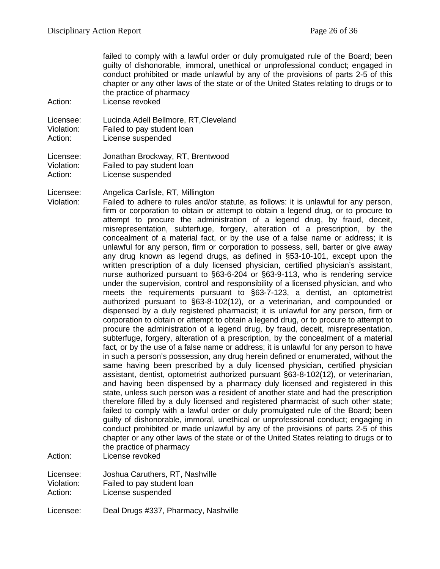failed to comply with a lawful order or duly promulgated rule of the Board; been guilty of dishonorable, immoral, unethical or unprofessional conduct; engaged in conduct prohibited or made unlawful by any of the provisions of parts 2-5 of this chapter or any other laws of the state or of the United States relating to drugs or to the practice of pharmacy

Action: License revoked

Licensee: Lucinda Adell Bellmore, RT,Cleveland Violation: Failed to pay student loan<br>Action: License suspended License suspended

Licensee: Jonathan Brockway, RT, Brentwood Violation: Failed to pay student loan Action: License suspended

Licensee: Angelica Carlisle, RT, Millington

Violation: Failed to adhere to rules and/or statute, as follows: it is unlawful for any person, firm or corporation to obtain or attempt to obtain a legend drug, or to procure to attempt to procure the administration of a legend drug, by fraud, deceit, misrepresentation, subterfuge, forgery, alteration of a prescription, by the concealment of a material fact, or by the use of a false name or address; it is unlawful for any person, firm or corporation to possess, sell, barter or give away any drug known as legend drugs, as defined in §53-10-101, except upon the written prescription of a duly licensed physician, certified physician's assistant, nurse authorized pursuant to §63-6-204 or §63-9-113, who is rendering service under the supervision, control and responsibility of a licensed physician, and who meets the requirements pursuant to §63-7-123, a dentist, an optometrist authorized pursuant to §63-8-102(12), or a veterinarian, and compounded or dispensed by a duly registered pharmacist; it is unlawful for any person, firm or corporation to obtain or attempt to obtain a legend drug, or to procure to attempt to procure the administration of a legend drug, by fraud, deceit, misrepresentation, subterfuge, forgery, alteration of a prescription, by the concealment of a material fact, or by the use of a false name or address; it is unlawful for any person to have in such a person's possession, any drug herein defined or enumerated, without the same having been prescribed by a duly licensed physician, certified physician assistant, dentist, optometrist authorized pursuant §63-8-102(12), or veterinarian, and having been dispensed by a pharmacy duly licensed and registered in this state, unless such person was a resident of another state and had the prescription therefore filled by a duly licensed and registered pharmacist of such other state; failed to comply with a lawful order or duly promulgated rule of the Board; been guilty of dishonorable, immoral, unethical or unprofessional conduct; engaging in conduct prohibited or made unlawful by any of the provisions of parts 2-5 of this chapter or any other laws of the state or of the United States relating to drugs or to the practice of pharmacy

Action: License revoked

Licensee: Joshua Caruthers, RT, Nashville<br>Violation: Failed to pay student loan

Violation: Failed to pay student loan<br>Action: License suspended License suspended

Licensee: Deal Drugs #337, Pharmacy, Nashville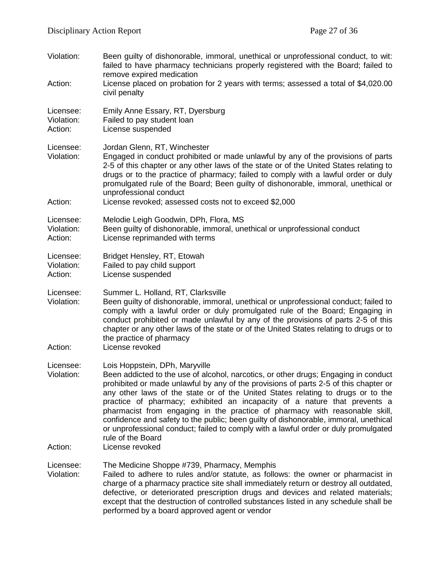| Violation:<br>Action:              | Been guilty of dishonorable, immoral, unethical or unprofessional conduct, to wit:<br>failed to have pharmacy technicians properly registered with the Board; failed to<br>remove expired medication<br>License placed on probation for 2 years with terms; assessed a total of \$4,020.00<br>civil penalty                                                                                                                                                                                                                                                                                                                                                      |
|------------------------------------|------------------------------------------------------------------------------------------------------------------------------------------------------------------------------------------------------------------------------------------------------------------------------------------------------------------------------------------------------------------------------------------------------------------------------------------------------------------------------------------------------------------------------------------------------------------------------------------------------------------------------------------------------------------|
| Licensee:<br>Violation:<br>Action: | Emily Anne Essary, RT, Dyersburg<br>Failed to pay student loan<br>License suspended                                                                                                                                                                                                                                                                                                                                                                                                                                                                                                                                                                              |
| Licensee:<br>Violation:<br>Action: | Jordan Glenn, RT, Winchester<br>Engaged in conduct prohibited or made unlawful by any of the provisions of parts<br>2-5 of this chapter or any other laws of the state or of the United States relating to<br>drugs or to the practice of pharmacy; failed to comply with a lawful order or duly<br>promulgated rule of the Board; Been guilty of dishonorable, immoral, unethical or<br>unprofessional conduct<br>License revoked; assessed costs not to exceed \$2,000                                                                                                                                                                                         |
|                                    |                                                                                                                                                                                                                                                                                                                                                                                                                                                                                                                                                                                                                                                                  |
| Licensee:<br>Violation:<br>Action: | Melodie Leigh Goodwin, DPh, Flora, MS<br>Been guilty of dishonorable, immoral, unethical or unprofessional conduct<br>License reprimanded with terms                                                                                                                                                                                                                                                                                                                                                                                                                                                                                                             |
| Licensee:<br>Violation:<br>Action: | Bridget Hensley, RT, Etowah<br>Failed to pay child support<br>License suspended                                                                                                                                                                                                                                                                                                                                                                                                                                                                                                                                                                                  |
| Licensee:<br>Violation:<br>Action: | Summer L. Holland, RT, Clarksville<br>Been guilty of dishonorable, immoral, unethical or unprofessional conduct; failed to<br>comply with a lawful order or duly promulgated rule of the Board; Engaging in<br>conduct prohibited or made unlawful by any of the provisions of parts 2-5 of this<br>chapter or any other laws of the state or of the United States relating to drugs or to<br>the practice of pharmacy<br>License revoked                                                                                                                                                                                                                        |
| Licensee:<br>Violation:            | Lois Hoppstein, DPh, Maryville<br>Been addicted to the use of alcohol, narcotics, or other drugs; Engaging in conduct<br>prohibited or made unlawful by any of the provisions of parts 2-5 of this chapter or<br>any other laws of the state or of the United States relating to drugs or to the<br>practice of pharmacy; exhibited an incapacity of a nature that prevents a<br>pharmacist from engaging in the practice of pharmacy with reasonable skill,<br>confidence and safety to the public; been guilty of dishonorable, immoral, unethical<br>or unprofessional conduct; failed to comply with a lawful order or duly promulgated<br>rule of the Board |
| Action:                            | License revoked                                                                                                                                                                                                                                                                                                                                                                                                                                                                                                                                                                                                                                                  |
| Licensee:<br>Violation:            | The Medicine Shoppe #739, Pharmacy, Memphis<br>Failed to adhere to rules and/or statute, as follows: the owner or pharmacist in<br>charge of a pharmacy practice site shall immediately return or destroy all outdated,<br>defective, or deteriorated prescription drugs and devices and related materials;<br>except that the destruction of controlled substances listed in any schedule shall be<br>performed by a board approved agent or vendor                                                                                                                                                                                                             |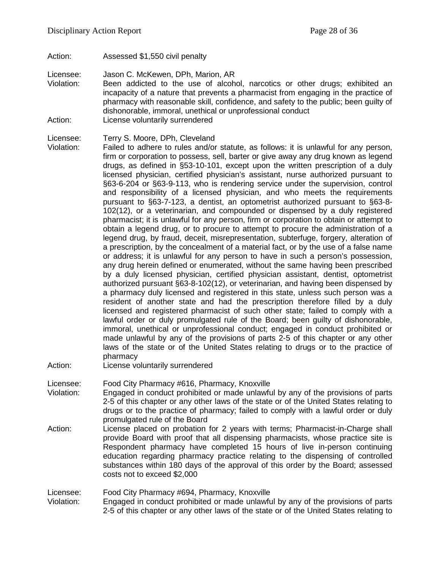Action: Assessed \$1,550 civil penalty

Licensee: Jason C. McKewen, DPh, Marion, AR

- Violation: Been addicted to the use of alcohol, narcotics or other drugs; exhibited an incapacity of a nature that prevents a pharmacist from engaging in the practice of pharmacy with reasonable skill, confidence, and safety to the public; been guilty of dishonorable, immoral, unethical or unprofessional conduct Action: License voluntarily surrendered
- 

Licensee: Terry S. Moore, DPh, Cleveland<br>Violation: Failed to adhere to rules and/or

Failed to adhere to rules and/or statute, as follows: it is unlawful for any person, firm or corporation to possess, sell, barter or give away any drug known as legend drugs, as defined in §53-10-101, except upon the written prescription of a duly licensed physician, certified physician's assistant, nurse authorized pursuant to §63-6-204 or §63-9-113, who is rendering service under the supervision, control and responsibility of a licensed physician, and who meets the requirements pursuant to §63-7-123, a dentist, an optometrist authorized pursuant to §63-8- 102(12), or a veterinarian, and compounded or dispensed by a duly registered pharmacist; it is unlawful for any person, firm or corporation to obtain or attempt to obtain a legend drug, or to procure to attempt to procure the administration of a legend drug, by fraud, deceit, misrepresentation, subterfuge, forgery, alteration of a prescription, by the concealment of a material fact, or by the use of a false name or address; it is unlawful for any person to have in such a person's possession, any drug herein defined or enumerated, without the same having been prescribed by a duly licensed physician, certified physician assistant, dentist, optometrist authorized pursuant §63-8-102(12), or veterinarian, and having been dispensed by a pharmacy duly licensed and registered in this state, unless such person was a resident of another state and had the prescription therefore filled by a duly licensed and registered pharmacist of such other state; failed to comply with a lawful order or duly promulgated rule of the Board; been guilty of dishonorable, immoral, unethical or unprofessional conduct; engaged in conduct prohibited or made unlawful by any of the provisions of parts 2-5 of this chapter or any other laws of the state or of the United States relating to drugs or to the practice of pharmacy

Action: License voluntarily surrendered

Licensee: Food City Pharmacy #616, Pharmacy, Knoxville

- Violation: Engaged in conduct prohibited or made unlawful by any of the provisions of parts 2-5 of this chapter or any other laws of the state or of the United States relating to drugs or to the practice of pharmacy; failed to comply with a lawful order or duly promulgated rule of the Board
- Action: License placed on probation for 2 years with terms; Pharmacist-in-Charge shall provide Board with proof that all dispensing pharmacists, whose practice site is Respondent pharmacy have completed 15 hours of live in-person continuing education regarding pharmacy practice relating to the dispensing of controlled substances within 180 days of the approval of this order by the Board; assessed costs not to exceed \$2,000

Licensee: Food City Pharmacy #694, Pharmacy, Knoxville

Violation: Engaged in conduct prohibited or made unlawful by any of the provisions of parts 2-5 of this chapter or any other laws of the state or of the United States relating to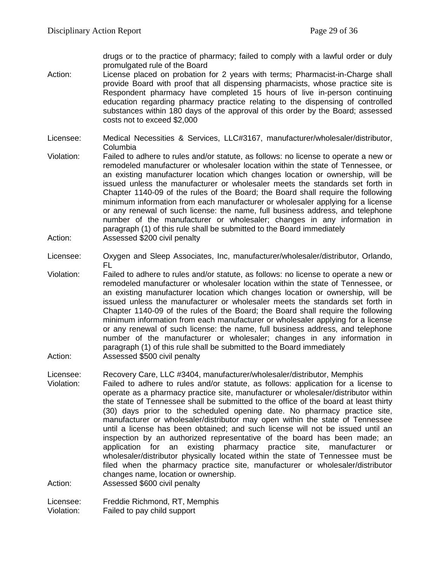drugs or to the practice of pharmacy; failed to comply with a lawful order or duly promulgated rule of the Board

- Action: License placed on probation for 2 years with terms; Pharmacist-in-Charge shall provide Board with proof that all dispensing pharmacists, whose practice site is Respondent pharmacy have completed 15 hours of live in-person continuing education regarding pharmacy practice relating to the dispensing of controlled substances within 180 days of the approval of this order by the Board; assessed costs not to exceed \$2,000
- Licensee: Medical Necessities & Services, LLC#3167, manufacturer/wholesaler/distributor, Columbia
- Violation: Failed to adhere to rules and/or statute, as follows: no license to operate a new or remodeled manufacturer or wholesaler location within the state of Tennessee, or an existing manufacturer location which changes location or ownership, will be issued unless the manufacturer or wholesaler meets the standards set forth in Chapter 1140-09 of the rules of the Board; the Board shall require the following minimum information from each manufacturer or wholesaler applying for a license or any renewal of such license: the name, full business address, and telephone number of the manufacturer or wholesaler; changes in any information in paragraph (1) of this rule shall be submitted to the Board immediately Action: Assessed \$200 civil penalty
- Licensee: Oxygen and Sleep Associates, Inc, manufacturer/wholesaler/distributor, Orlando, FL
- Violation: Failed to adhere to rules and/or statute, as follows: no license to operate a new or remodeled manufacturer or wholesaler location within the state of Tennessee, or an existing manufacturer location which changes location or ownership, will be issued unless the manufacturer or wholesaler meets the standards set forth in Chapter 1140-09 of the rules of the Board; the Board shall require the following minimum information from each manufacturer or wholesaler applying for a license or any renewal of such license: the name, full business address, and telephone number of the manufacturer or wholesaler; changes in any information in paragraph (1) of this rule shall be submitted to the Board immediately Action: Assessed \$500 civil penalty
- Licensee: Recovery Care, LLC #3404, manufacturer/wholesaler/distributor, Memphis Violation: Failed to adhere to rules and/or statute, as follows: application for a license to operate as a pharmacy practice site, manufacturer or wholesaler/distributor within the state of Tennessee shall be submitted to the office of the board at least thirty (30) days prior to the scheduled opening date. No pharmacy practice site, manufacturer or wholesaler/distributor may open within the state of Tennessee until a license has been obtained; and such license will not be issued until an inspection by an authorized representative of the board has been made; an application for an existing pharmacy practice site, manufacturer or wholesaler/distributor physically located within the state of Tennessee must be filed when the pharmacy practice site, manufacturer or wholesaler/distributor changes name, location or ownership.

Action: Assessed \$600 civil penalty

Licensee: Freddie Richmond, RT, Memphis Violation: Failed to pay child support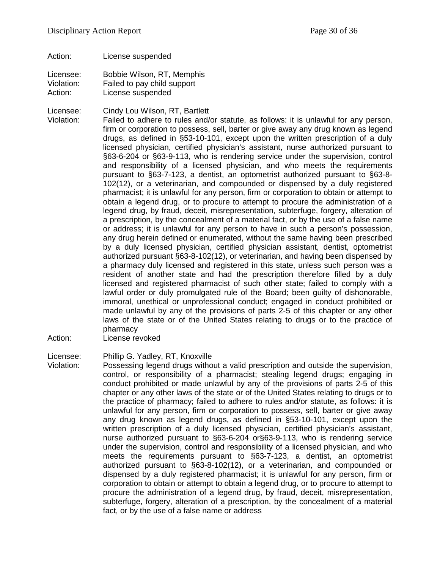Action: License suspended

Licensee: Bobbie Wilson, RT, Memphis Violation: Failed to pay child support Action: License suspended

Licensee: Cindy Lou Wilson, RT, Bartlett

Violation: Failed to adhere to rules and/or statute, as follows: it is unlawful for any person, firm or corporation to possess, sell, barter or give away any drug known as legend drugs, as defined in §53-10-101, except upon the written prescription of a duly licensed physician, certified physician's assistant, nurse authorized pursuant to §63-6-204 or §63-9-113, who is rendering service under the supervision, control and responsibility of a licensed physician, and who meets the requirements pursuant to §63-7-123, a dentist, an optometrist authorized pursuant to §63-8- 102(12), or a veterinarian, and compounded or dispensed by a duly registered pharmacist; it is unlawful for any person, firm or corporation to obtain or attempt to obtain a legend drug, or to procure to attempt to procure the administration of a legend drug, by fraud, deceit, misrepresentation, subterfuge, forgery, alteration of a prescription, by the concealment of a material fact, or by the use of a false name or address; it is unlawful for any person to have in such a person's possession, any drug herein defined or enumerated, without the same having been prescribed by a duly licensed physician, certified physician assistant, dentist, optometrist authorized pursuant §63-8-102(12), or veterinarian, and having been dispensed by a pharmacy duly licensed and registered in this state, unless such person was a resident of another state and had the prescription therefore filled by a duly licensed and registered pharmacist of such other state; failed to comply with a lawful order or duly promulgated rule of the Board; been guilty of dishonorable, immoral, unethical or unprofessional conduct; engaged in conduct prohibited or made unlawful by any of the provisions of parts 2-5 of this chapter or any other laws of the state or of the United States relating to drugs or to the practice of pharmacy

Action: License revoked

Licensee: Phillip G. Yadley, RT, Knoxville

Violation: Possessing legend drugs without a valid prescription and outside the supervision, control, or responsibility of a pharmacist; stealing legend drugs; engaging in conduct prohibited or made unlawful by any of the provisions of parts 2-5 of this chapter or any other laws of the state or of the United States relating to drugs or to the practice of pharmacy; failed to adhere to rules and/or statute, as follows: it is unlawful for any person, firm or corporation to possess, sell, barter or give away any drug known as legend drugs, as defined in §53-10-101, except upon the written prescription of a duly licensed physician, certified physician's assistant, nurse authorized pursuant to §63-6-204 or§63-9-113, who is rendering service under the supervision, control and responsibility of a licensed physician, and who meets the requirements pursuant to §63-7-123, a dentist, an optometrist authorized pursuant to §63-8-102(12), or a veterinarian, and compounded or dispensed by a duly registered pharmacist; it is unlawful for any person, firm or corporation to obtain or attempt to obtain a legend drug, or to procure to attempt to procure the administration of a legend drug, by fraud, deceit, misrepresentation, subterfuge, forgery, alteration of a prescription, by the concealment of a material fact, or by the use of a false name or address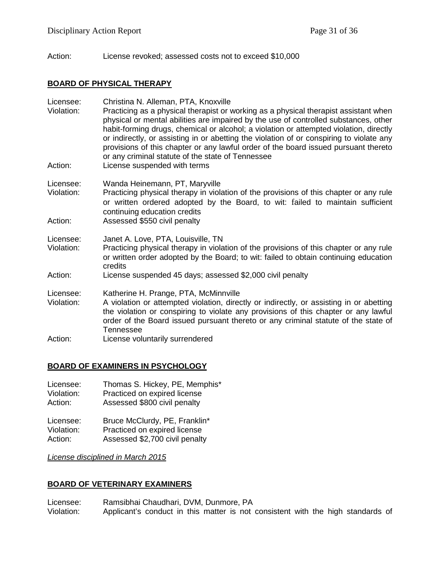Action: License revoked; assessed costs not to exceed \$10,000

#### **BOARD OF PHYSICAL THERAPY**

| Licensee:<br>Violation:<br>Action: | Christina N. Alleman, PTA, Knoxville<br>Practicing as a physical therapist or working as a physical therapist assistant when<br>physical or mental abilities are impaired by the use of controlled substances, other<br>habit-forming drugs, chemical or alcohol; a violation or attempted violation, directly<br>or indirectly, or assisting in or abetting the violation of or conspiring to violate any<br>provisions of this chapter or any lawful order of the board issued pursuant thereto<br>or any criminal statute of the state of Tennessee<br>License suspended with terms |
|------------------------------------|----------------------------------------------------------------------------------------------------------------------------------------------------------------------------------------------------------------------------------------------------------------------------------------------------------------------------------------------------------------------------------------------------------------------------------------------------------------------------------------------------------------------------------------------------------------------------------------|
| Licensee:<br>Violation:<br>Action: | Wanda Heinemann, PT, Maryville<br>Practicing physical therapy in violation of the provisions of this chapter or any rule<br>or written ordered adopted by the Board, to wit: failed to maintain sufficient<br>continuing education credits<br>Assessed \$550 civil penalty                                                                                                                                                                                                                                                                                                             |
| Licensee:<br>Violation:            | Janet A. Love, PTA, Louisville, TN<br>Practicing physical therapy in violation of the provisions of this chapter or any rule<br>or written order adopted by the Board; to wit: failed to obtain continuing education<br>credits                                                                                                                                                                                                                                                                                                                                                        |
| Action:                            | License suspended 45 days; assessed \$2,000 civil penalty                                                                                                                                                                                                                                                                                                                                                                                                                                                                                                                              |
| Licensee:                          | Katherine H. Prange, PTA, McMinnville                                                                                                                                                                                                                                                                                                                                                                                                                                                                                                                                                  |
| Violation:                         | A violation or attempted violation, directly or indirectly, or assisting in or abetting<br>the violation or conspiring to violate any provisions of this chapter or any lawful<br>order of the Board issued pursuant thereto or any criminal statute of the state of<br>Tennessee                                                                                                                                                                                                                                                                                                      |
| Action:                            | License voluntarily surrendered                                                                                                                                                                                                                                                                                                                                                                                                                                                                                                                                                        |

## **BOARD OF EXAMINERS IN PSYCHOLOGY**

| Licensee:  | Thomas S. Hickey, PE, Memphis* |
|------------|--------------------------------|
| Violation: | Practiced on expired license   |
| Action:    | Assessed \$800 civil penalty   |
| Licensee:  | Bruce McClurdy, PE, Franklin*  |
| Violation: | Practiced on expired license   |
| Action:    | Assessed \$2,700 civil penalty |

*License disciplined in March 2015*

## **BOARD OF VETERINARY EXAMINERS**

Licensee: Ramsibhai Chaudhari, DVM, Dunmore, PA<br>Violation: Applicant's conduct in this matter is not Applicant's conduct in this matter is not consistent with the high standards of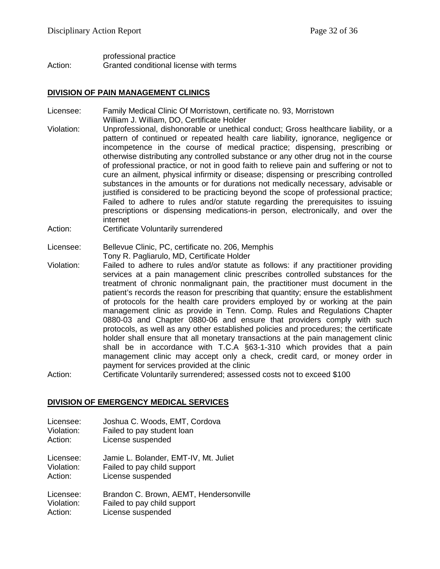#### professional practice Action: Granted conditional license with terms

#### **DIVISION OF PAIN MANAGEMENT CLINICS**

- Licensee: Family Medical Clinic Of Morristown, certificate no. 93, Morristown William J. William, DO, Certificate Holder
- Violation: Unprofessional, dishonorable or unethical conduct; Gross healthcare liability, or a pattern of continued or repeated health care liability, ignorance, negligence or incompetence in the course of medical practice; dispensing, prescribing or otherwise distributing any controlled substance or any other drug not in the course of professional practice, or not in good faith to relieve pain and suffering or not to cure an ailment, physical infirmity or disease; dispensing or prescribing controlled substances in the amounts or for durations not medically necessary, advisable or justified is considered to be practicing beyond the scope of professional practice; Failed to adhere to rules and/or statute regarding the prerequisites to issuing prescriptions or dispensing medications-in person, electronically, and over the internet
- Action: Certificate Voluntarily surrendered
- Licensee: Bellevue Clinic, PC, certificate no. 206, Memphis Tony R. Pagliarulo, MD, Certificate Holder
- Violation: Failed to adhere to rules and/or statute as follows: if any practitioner providing services at a pain management clinic prescribes controlled substances for the treatment of chronic nonmalignant pain, the practitioner must document in the patient's records the reason for prescribing that quantity; ensure the establishment of protocols for the health care providers employed by or working at the pain management clinic as provide in Tenn. Comp. Rules and Regulations Chapter 0880-03 and Chapter 0880-06 and ensure that providers comply with such protocols, as well as any other established policies and procedures; the certificate holder shall ensure that all monetary transactions at the pain management clinic shall be in accordance with T.C.A §63-1-310 which provides that a pain management clinic may accept only a check, credit card, or money order in payment for services provided at the clinic
- Action: Certificate Voluntarily surrendered; assessed costs not to exceed \$100

#### **DIVISION OF EMERGENCY MEDICAL SERVICES**

- Licensee: Joshua C. Woods, EMT, Cordova
- Violation: Failed to pay student loan
- Action: License suspended

Licensee: Jamie L. Bolander, EMT-IV, Mt. Juliet Violation: Failed to pay child support Action: License suspended

Licensee: Brandon C. Brown, AEMT, Hendersonville Violation: Failed to pay child support Action: License suspended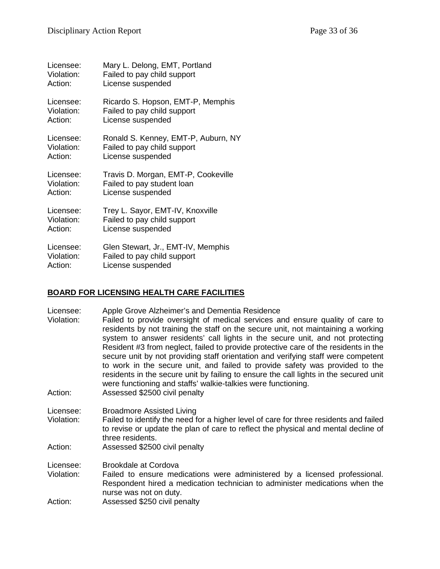| Licensee:  | Mary L. Delong, EMT, Portland       |
|------------|-------------------------------------|
| Violation: | Failed to pay child support         |
| Action:    | License suspended                   |
| Licensee:  | Ricardo S. Hopson, EMT-P, Memphis   |
| Violation: | Failed to pay child support         |
| Action:    | License suspended                   |
| Licensee:  | Ronald S. Kenney, EMT-P, Auburn, NY |
| Violation: | Failed to pay child support         |
| Action:    | License suspended                   |
| Licensee:  | Travis D. Morgan, EMT-P, Cookeville |
| Violation: | Failed to pay student loan          |
| Action:    | License suspended                   |
| Licensee:  | Trey L. Sayor, EMT-IV, Knoxville    |
| Violation: | Failed to pay child support         |
| Action:    | License suspended                   |
| Licensee:  | Glen Stewart, Jr., EMT-IV, Memphis  |
| Violation: | Failed to pay child support         |
| Action:    | License suspended                   |

## **BOARD FOR LICENSING HEALTH CARE FACILITIES**

| Licensee: | Apple Grove Alzheimer's and Dementia Residence |
|-----------|------------------------------------------------|
|-----------|------------------------------------------------|

| Violation:                    | Failed to provide oversight of medical services and ensure quality of care to         |
|-------------------------------|---------------------------------------------------------------------------------------|
|                               | residents by not training the staff on the secure unit, not maintaining a working     |
|                               | system to answer residents' call lights in the secure unit, and not protecting        |
|                               | Resident #3 from neglect, failed to provide protective care of the residents in the   |
|                               | secure unit by not providing staff orientation and verifying staff were competent     |
|                               | to work in the secure unit, and failed to provide safety was provided to the          |
|                               | residents in the secure unit by failing to ensure the call lights in the secured unit |
|                               | were functioning and staffs' walkie-talkies were functioning.                         |
| $\mathbf{A}$ and $\mathbf{A}$ | $\mathbf{A}$ $\mathbf{A}$                                                             |

- Action: Assessed \$2500 civil penalty
- Licensee: Broadmore Assisted Living<br>Violation: Failed to identify the need fo Failed to identify the need for a higher level of care for three residents and failed to revise or update the plan of care to reflect the physical and mental decline of three residents.
- Action: Assessed \$2500 civil penalty
- Licensee: Brookdale at Cordova<br>Violation: Failed to ensure med
- Failed to ensure medications were administered by a licensed professional. Respondent hired a medication technician to administer medications when the nurse was not on duty.
- Action: Assessed \$250 civil penalty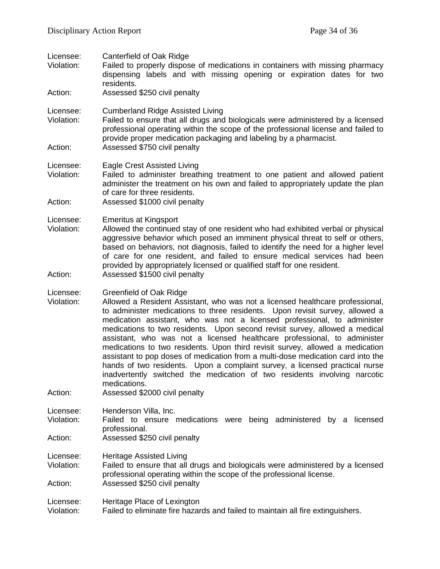| Licensee:<br>Violation:<br>Action: | Canterfield of Oak Ridge<br>Failed to properly dispose of medications in containers with missing pharmacy<br>dispensing labels and with missing opening or expiration dates for two<br>residents.<br>Assessed \$250 civil penalty                                                                                                                                                                                                                                                                                                                                                                                                                                                                                                                                                                                       |
|------------------------------------|-------------------------------------------------------------------------------------------------------------------------------------------------------------------------------------------------------------------------------------------------------------------------------------------------------------------------------------------------------------------------------------------------------------------------------------------------------------------------------------------------------------------------------------------------------------------------------------------------------------------------------------------------------------------------------------------------------------------------------------------------------------------------------------------------------------------------|
| Licensee:<br>Violation:<br>Action: | <b>Cumberland Ridge Assisted Living</b><br>Failed to ensure that all drugs and biologicals were administered by a licensed<br>professional operating within the scope of the professional license and failed to<br>provide proper medication packaging and labeling by a pharmacist.<br>Assessed \$750 civil penalty                                                                                                                                                                                                                                                                                                                                                                                                                                                                                                    |
| Licensee:<br>Violation:<br>Action: | <b>Eagle Crest Assisted Living</b><br>Failed to administer breathing treatment to one patient and allowed patient<br>administer the treatment on his own and failed to appropriately update the plan<br>of care for three residents.<br>Assessed \$1000 civil penalty                                                                                                                                                                                                                                                                                                                                                                                                                                                                                                                                                   |
| Licensee:<br>Violation:<br>Action: | <b>Emeritus at Kingsport</b><br>Allowed the continued stay of one resident who had exhibited verbal or physical<br>aggressive behavior which posed an imminent physical threat to self or others,<br>based on behaviors, not diagnosis, failed to identify the need for a higher level<br>of care for one resident, and failed to ensure medical services had been<br>provided by appropriately licensed or qualified staff for one resident.<br>Assessed \$1500 civil penalty                                                                                                                                                                                                                                                                                                                                          |
| Licensee:<br>Violation:<br>Action: | <b>Greenfield of Oak Ridge</b><br>Allowed a Resident Assistant, who was not a licensed healthcare professional,<br>to administer medications to three residents. Upon revisit survey, allowed a<br>medication assistant, who was not a licensed professional, to administer<br>medications to two residents. Upon second revisit survey, allowed a medical<br>assistant, who was not a licensed healthcare professional, to administer<br>medications to two residents. Upon third revisit survey, allowed a medication<br>assistant to pop doses of medication from a multi-dose medication card into the<br>hands of two residents. Upon a complaint survey, a licensed practical nurse<br>inadvertently switched the medication of two residents involving narcotic<br>medications.<br>Assessed \$2000 civil penalty |
| Licensee:<br>Violation:<br>Action: | Henderson Villa, Inc.<br>Failed to ensure medications were being administered<br>licensed<br>by a<br>professional.<br>Assessed \$250 civil penalty                                                                                                                                                                                                                                                                                                                                                                                                                                                                                                                                                                                                                                                                      |
| Licensee:<br>Violation:<br>Action: | <b>Heritage Assisted Living</b><br>Failed to ensure that all drugs and biologicals were administered by a licensed<br>professional operating within the scope of the professional license.<br>Assessed \$250 civil penalty                                                                                                                                                                                                                                                                                                                                                                                                                                                                                                                                                                                              |
| Licensee:<br>Violation:            | Heritage Place of Lexington<br>Failed to eliminate fire hazards and failed to maintain all fire extinguishers.                                                                                                                                                                                                                                                                                                                                                                                                                                                                                                                                                                                                                                                                                                          |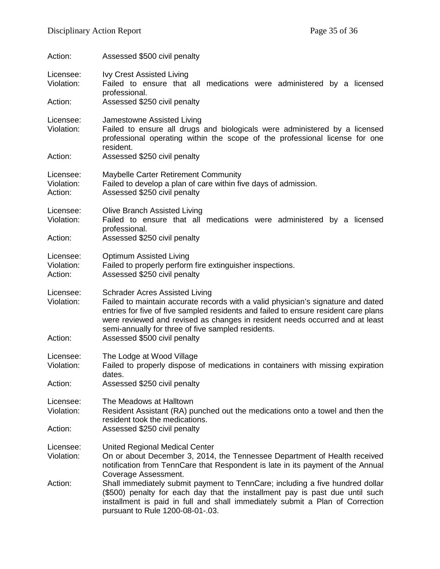| Action:                            | Assessed \$500 civil penalty                                                                                                                                                                                                                                                                                                                                                           |
|------------------------------------|----------------------------------------------------------------------------------------------------------------------------------------------------------------------------------------------------------------------------------------------------------------------------------------------------------------------------------------------------------------------------------------|
| Licensee:<br>Violation:<br>Action: | <b>Ivy Crest Assisted Living</b><br>Failed to ensure that all medications were administered by a licensed<br>professional.<br>Assessed \$250 civil penalty                                                                                                                                                                                                                             |
|                                    |                                                                                                                                                                                                                                                                                                                                                                                        |
| Licensee:<br>Violation:            | Jamestowne Assisted Living<br>Failed to ensure all drugs and biologicals were administered by a licensed<br>professional operating within the scope of the professional license for one<br>resident.                                                                                                                                                                                   |
| Action:                            | Assessed \$250 civil penalty                                                                                                                                                                                                                                                                                                                                                           |
| Licensee:<br>Violation:<br>Action: | Maybelle Carter Retirement Community<br>Failed to develop a plan of care within five days of admission.<br>Assessed \$250 civil penalty                                                                                                                                                                                                                                                |
| Licensee:<br>Violation:<br>Action: | <b>Olive Branch Assisted Living</b><br>Failed to ensure that all medications were administered by a licensed<br>professional.<br>Assessed \$250 civil penalty                                                                                                                                                                                                                          |
| Licensee:<br>Violation:<br>Action: | Optimum Assisted Living<br>Failed to properly perform fire extinguisher inspections.<br>Assessed \$250 civil penalty                                                                                                                                                                                                                                                                   |
| Licensee:<br>Violation:<br>Action: | <b>Schrader Acres Assisted Living</b><br>Failed to maintain accurate records with a valid physician's signature and dated<br>entries for five of five sampled residents and failed to ensure resident care plans<br>were reviewed and revised as changes in resident needs occurred and at least<br>semi-annually for three of five sampled residents.<br>Assessed \$500 civil penalty |
| Licensee:<br>Violation:            | The Lodge at Wood Village<br>Failed to properly dispose of medications in containers with missing expiration                                                                                                                                                                                                                                                                           |
| Action:                            | dates.<br>Assessed \$250 civil penalty                                                                                                                                                                                                                                                                                                                                                 |
| Licensee:<br>Violation:            | The Meadows at Halltown<br>Resident Assistant (RA) punched out the medications onto a towel and then the<br>resident took the medications.                                                                                                                                                                                                                                             |
| Action:                            | Assessed \$250 civil penalty                                                                                                                                                                                                                                                                                                                                                           |
| Licensee:<br>Violation:            | <b>United Regional Medical Center</b><br>On or about December 3, 2014, the Tennessee Department of Health received<br>notification from TennCare that Respondent is late in its payment of the Annual                                                                                                                                                                                  |
| Action:                            | Coverage Assessment.<br>Shall immediately submit payment to TennCare; including a five hundred dollar<br>(\$500) penalty for each day that the installment pay is past due until such<br>installment is paid in full and shall immediately submit a Plan of Correction<br>pursuant to Rule 1200-08-01-.03.                                                                             |